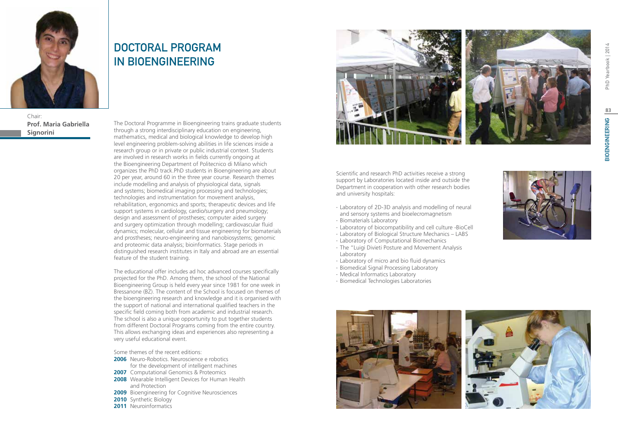

Chair: **Prof. Maria Gabriella Signorini**

# DOCTORAL PROGRAM IN BIOENGINEERING

The Doctoral Programme in Bioengineering trains graduate students through a strong interdisciplinary education on engineering, mathematics, medical and biological knowledge to develop high level engineering problem-solving abilities in life sciences inside a research group or in private or public industrial context. Students are involved in research works in fields currently ongoing at the Bioengineering Department of Politecnico di Milano which organizes the PhD track.PhD students in Bioengineering are about 20 per year, around 60 in the three year course. Research themes include modelling and analysis of physiological data, signals and systems; biomedical imaging processing and technologies; technologies and instrumentation for movement analysis, rehabilitation, ergonomics and sports; therapeutic devices and life support systems in cardiology, cardio/surgery and pneumology; design and assessment of prostheses; computer aided surgery and surgery optimization through modelling; cardiovascular fluid dynamics; molecular, cellular and tissue engineering for biomaterials and prostheses; neuro-engineering and nanobiosystems; genomic and proteomic data analysis; bioinformatics. Stage periods in distinguished research institutes in Italy and abroad are an essential feature of the student training.

The educational offer includes ad hoc advanced courses specifically projected for the PhD. Among them, the school of the National Bioengineering Group is held every year since 1981 for one week in Bressanone (BZ). The content of the School is focused on themes of the bioengineering research and knowledge and it is organised with the support of national and international qualified teachers in the specific field coming both from academic and industrial research. The school is also a unique opportunity to put together students from different Doctoral Programs coming from the entire country. This allows exchanging ideas and experiences also representing a very useful educational event.

Some themes of the recent editions:

- **2006** Neuro-Robotics. Neuroscience e robotics for the development of intelligent machines
- **2007** Computational Genomics & Proteomics
- **2008** Wearable Intelligent Devices for Human Health and Protection
- **2009** Bioengineering for Cognitive Neurosciences
- **2010** Synthetic Biology
- **2011** Neuroinformatics



Scientific and research PhD activities receive a strong support by Laboratories located inside and outside the Department in cooperation with other research bodies and university hospitals:

- ∙ Laboratory of 2D-3D analysis and modelling of neural and sensory systems and bioelecromagnetism
- ∙ Biomaterials Laboratory
- ∙ Laboratory of biocompatibility and cell culture -BioCell
- ∙ Laboratory of Biological Structure Mechanics LABS
- ∙ Laboratory of Computational Biomechanics
- ∙ The "Luigi Divieti Posture and Movement Analysis Laboratory
- ∙ Laboratory of micro and bio fluid dynamics
- ∙ Biomedical Signal Processing Laboratory
- ∙ Medical Informatics Laboratory
- ∙ Biomedical Technologies Laboratories



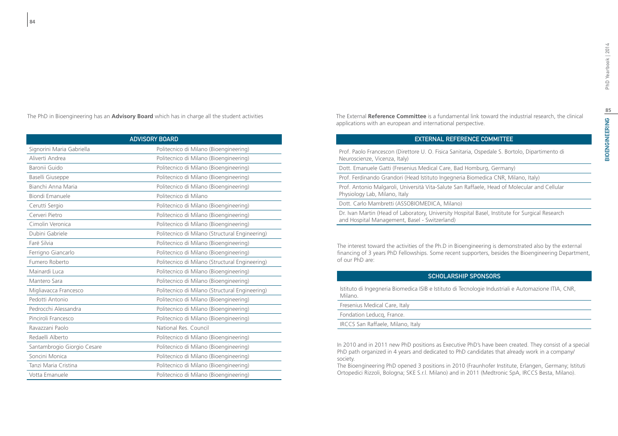The PhD in Bioengineering has an **Advisory Board** which has in charge all the student activities

| <b>ADVISORY BOARD</b>       |                                                |
|-----------------------------|------------------------------------------------|
| Signorini Maria Gabriella   | Politecnico di Milano (Bioengineering)         |
| Aliverti Andrea             | Politecnico di Milano (Bioengineering)         |
| Baronii Guido               | Politecnico di Milano (Bioengineering)         |
| Baselli Giuseppe            | Politecnico di Milano (Bioengineering)         |
| Bianchi Anna Maria          | Politecnico di Milano (Bioengineering)         |
| Biondi Emanuele             | Politecnico di Milano                          |
| Cerutti Sergio              | Politecnico di Milano (Bioengineering)         |
| Cerveri Pietro              | Politecnico di Milano (Bioengineering)         |
| Cimolin Veronica            | Politecnico di Milano (Bioengineering)         |
| Dubini Gabriele             | Politecnico di Milano (Structural Engineering) |
| Faré Silvia                 | Politecnico di Milano (Bioengineering)         |
| Ferrigno Giancarlo          | Politecnico di Milano (Bioengineering)         |
| Fumero Roberto              | Politecnico di Milano (Structural Engineering) |
| Mainardi Luca               | Politecnico di Milano (Bioengineering)         |
| Mantero Sara                | Politecnico di Milano (Bioengineering)         |
| Migliavacca Francesco       | Politecnico di Milano (Structural Engineering) |
| Pedotti Antonio             | Politecnico di Milano (Bioengineering)         |
| Pedrocchi Alessandra        | Politecnico di Milano (Bioengineering)         |
| Pinciroli Francesco         | Politecnico di Milano (Bioengineering)         |
| Ravazzani Paolo             | National Res. Council                          |
| Redaelli Alberto            | Politecnico di Milano (Bioengineering)         |
| Santambrogio Giorgio Cesare | Politecnico di Milano (Bioengineering)         |
| Soncini Monica              | Politecnico di Milano (Bioengineering)         |
| Tanzi Maria Cristina        | Politecnico di Milano (Bioengineering)         |
| Votta Emanuele              | Politecnico di Milano (Bioengineering)         |

The External **Reference Committee** is a fundamental link toward the industrial research, the clinical applications with an european and international perspective.

### External Reference Committee

Prof. Paolo Francescon (Direttore U. O. Fisica Sanitaria, Ospedale S. Bortolo, Dipartimento di Neuroscienze, Vicenza, Italy)

Dott. Emanuele Gatti (Fresenius Medical Care, Bad Homburg, Germany)

Prof. Ferdinando Grandori (Head Istituto Ingegneria Biomedica CNR, Milano, Italy)

Prof. Antonio Malgaroli, Università Vita-Salute San Raffaele, Head of Molecular and Cellular Physiology Lab, Milano, Italy

Dott. Carlo Mambretti (ASSOBIOMEDICA, Milano)

Dr. Ivan Martin (Head of Laboratory, University Hospital Basel, Institute for Surgical Research and Hospital Management, Basel - Switzerland)

The interest toward the activities of the Ph.D in Bioengineering is demonstrated also by the external financing of 3 years PhD Fellowships. Some recent supporters, besides the Bioengineering Department, of our PhD are:

### Scholarship Sponsors

Istituto di Ingegneria Biomedica ISIB e Istituto di Tecnologie Industriali e Automazione ITIA, CNR, Milano.

Fresenius Medical Care, Italy Fondation Leducq, France. IRCCS San Raffaele, Milano, Italy

In 2010 and in 2011 new PhD positions as Executive PhD's have been created. They consist of a special PhD path organized in 4 years and dedicated to PhD candidates that already work in a company/ society.

The Bioengineering PhD opened 3 positions in 2010 (Fraunhofer Institute, Erlangen, Germany; Istituti Ortopedici Rizzoli, Bologna; SKE S.r.l. Milano) and in 2011 (Medtronic SpA, IRCCS Besta, Milano).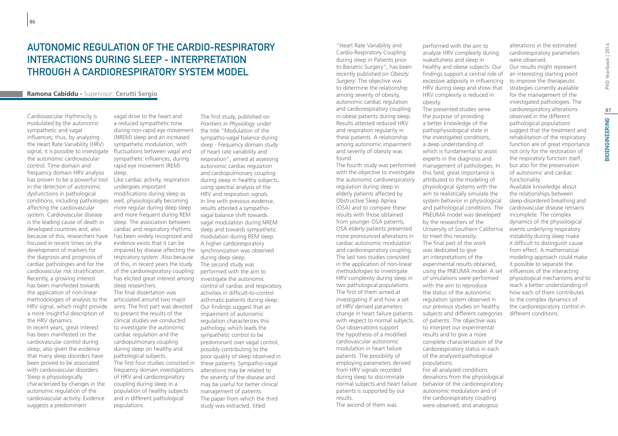## Autonomic regulation of the cardio-respiratory interactions during sleep - Interpretation through a cardiorespiratory system model

### **Ramona Cabiddu -** Supervisor: **Cerutti Sergio**

Cardiovascular rhythmicity is modulated by the autonomic sympathetic and vagal influences; thus, by analyzing the Heart Rate Variability (HRV) signal, it is possible to investigate the autonomic cardiovascular control. Time domain and frequency domain HRV analysis has proven to be a powerful tool in the detection of autonomic dysfunctions in pathological conditions, including pathologies affecting the cardiovascular system. Cardiovascular disease is the leading cause of death in developed countries and, also because of this, researchers have has been widely recognized and focused in recent times on the development of markers for the diagnosis and prognosis of cardiac pathologies and for the cardiovascular risk stratification. Recently, a growing interest has been manifested towards the application of non-linear methodologies of analysis to the HRV signal, which might provide a more insightful description of the HRV dynamics.

In recent years, great interest has been manifested on the cardiovascular control during sleep, also given the evidence that many sleep disorders have been proved to be associated with cardiovascular disorders. Sleep is physiologically characterized by changes in the autonomic regulation of the cardiovascular activity. Evidence suggests a predominant

vagal drive to the heart and a reduced sympathetic tone during non-rapid eye movement (NREM) sleep and an increased sympathetic modulation, with fluctuations between vagal and sympathetic influences, during rapid eye movement (REM) sleep.

### Like cardiac activity, respiration undergoes important modifications during sleep as well, physiologically becoming more regular during deep sleep and more frequent during REM sleep. The association between cardiac and respiratory rhythms evidence exists that it can be impaired by disease affecting the synchronization was observed respiratory system. Also because of this, in recent years the study of the cardiorespiratory coupling has elicited great interest among sleep researchers.

The final dissertation was articulated around two major aims. The first part was devoted to present the results of the clinical studies we conducted to investigate the autonomic cardiac regulation and the cardiopulmonary coupling during sleep on healthy and pathological subjects. The first four studies consisted in frequency domain investigations of HRV and cardiorespiratory coupling during sleep in a population of healthy subjects and in different pathological populations.

The first study, published on *Frontiers in Physiology* under the title "Modulation of the sympatho-vagal balance during sleep - Frequency domain study of heart rate variability and respiration", aimed at assessing autonomic cardiac regulation and cardiopulmonary coupling during sleep in healthy subjects, using spectral analysis of the HRV and respiration signals. In line with previous evidence, results attested a sympathovagal balance shift towards vagal modulation during NREM sleep and towards sympathetic modulation during REM sleep. A higher cardiorespiratory during deep sleep. The second study was performed with the aim to investigate the autonomic control of cardiac and respiratory activities in difficult-to-control asthmatic patients during sleep. Our findings suggest that an impairment of autonomic regulation characterizes this pathology, which leads the sympathetic control to be predominant over vagal control, possibly contributing to the poor quality of sleep observed in these patients. Sympatho-vagal alterations may be related to the severity of the disease and may be useful for better clinical management of patients. The paper from which the third study was extracted, titled

"Heart Rate Variability and Cardio-Respiratory Coupling during sleep in Patients prior to Bariatric Surgery", has been recently published on *Obesity Surgery*. The objective was to determine the relationship among severity of obesity, autonomic cardiac regulation and cardiorespiratory coupling in obese patients during sleep. Results attested reduced HRV and respiration regularity in these patients. A relationship among autonomic impairment and severity of obesity was

found. The fourth study was performed with the objective to investigate the autonomic cardiorespiratory regulation during sleep in elderly patients affected by Obstructive Sleep Apnea (OSA) and to compare these results with those obtained from younger OSA patients. OSA elderly patients presented more pronounced alterations in cardiac autonomic modulation and cardiorespiratory coupling. The last two studies consisted in the application of non-linear methodologies to investigate HRV complexity during sleep in two pathological populations. The first of them aimed at investigating if and how a set of HRV derived parameters change in heart failure patients with respect to normal subjects. Our observations support the hypothesis of a modified cardiovascular autonomic modulation in heart failure patients. The possibility of employing parameters derived from HRV signals recorded during sleep to discriminate normal subjects and heart failure patients is supported by our results.

The second of them was

performed with the aim to analyze HRV complexity during wakefulness and sleep in healthy and obese subjects. Our findings support a central role of excessive adiposity in influencing HRV during sleep and show that HRV complexity is reduced in obesity. The presented studies serve

the purpose of providing a better knowledge of the pathophysiological state in the investigated conditions, a deep understanding of which is fundamental to assist experts in the diagnosis and management of pathologies. In this field, great importance is attributed to the modeling of physiological systems with the aim to realistically simulate the system behavior in physiological and pathological conditions. The PNEUMA model was developed by the researchers of the University of Southern California to meet this necessity. The final part of the work was dedicated to give an interpretations of the experimental results obtained, using the PNEUMA model. A set of simulations were performed with the aim to reproduce the status of the autonomic regulation system observed in our previous studies on healthy subjects and different categories of patients. The objective was to interpret our experimental results and to give a more complete characterization of the cardiorespiratory status in each of the analyzed pathological populations. For all analyzed conditions deviations from the physiological behavior of the cardiorespiratory autonomic modulation and of the cardiorespiratory coupling were observed, and analogous

alterations in the estimated cardiorespiratory parameters were observed.

Our results might represent an interesting starting point to improve the therapeutic strategies currently available for the management of the investigated pathologies. The cardiorespiratory alterations observed in the different pathological populations suggest that the treatment and rehabilitation of the respiratory function are of great importance not only for the restoration of the respiratory function itself, but also for the preservation of autonomic and cardiac functionality.

Available knowledge about the relationships between sleep-disordered breathing and cardiovascular disease remains incomplete. The complex dynamics of the physiological events underlying respiratory instability during sleep make it difficult to distinguish cause from effect. A mathematical modeling approach could make it possible to separate the influences of the interacting physiological mechanisms and to reach a better understanding of how each of them contributes to the complex dynamics of the cardiorespiratory control in different conditions.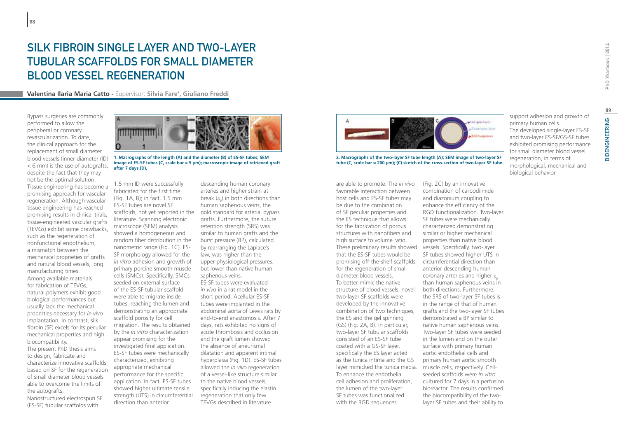**Valentina Ilaria Maria Catto -** Supervisor: **Silvia Fare', Giuliano Freddi**

Bypass surgeries are commonly performed to allow the peripheral or coronary revascularization. To date, the clinical approach for the replacement of small diameter blood vessels (inner diameter (ID) < 6 mm) is the use of autografts, despite the fact that they may not be the optimal solution. Tissue engineering has become a promising approach for vascular regeneration. Although vascular tissue engineering has reached promising results in clinical trials, tissue-engineered vascular grafts (TEVGs) exhibit some drawbacks, such as the regeneration of nonfunctional endothelium, a mismatch between the mechanical proprieties of grafts and natural blood vessels, long manufacturing times. Among available materials for fabrication of TEVGs, natural polymers exhibit good biological performances but usually lack the mechanical properties necessary for *in vivo* implantation. In contrast, silk fibroin (SF) excels for its peculiar mechanical properties and high biocompatibility. The present PhD thesis aims to design, fabricate and characterize innovative scaffolds based on SF for the regeneration of small diameter blood vessels able to overcome the limits of the autografts. Nanostructured electrospun SF (ES-SF) tubular scaffolds with

**88**



**1. Macrographs of the length (A) and the diameter (B) of ES-SF tubes; SEM image of ES-SF tubes (C, scale bar = 5 µm); macroscopic image of retrieved graft after 7 days (D).**

1.5 mm ID were successfully fabricated for the first time (Fig. 1A, B); in fact, 1.5 mm ES-SF tubes are novel SF scaffolds, not yet reported in the literature. Scanning electronic microscope (SEM) analysis showed a homogeneous and random fiber distribution in the nanometric range (Fig. 1C). ES-SF morphology allowed for the *in vitro* adhesion and growth of primary porcine smooth muscle cells (SMCs). Specifically, SMCs seeded on external surface of the ES-SF tubular scaffold were able to migrate inside tubes, reaching the lumen and demonstrating an appropriate scaffold porosity for cell migration. The results obtained by the *in vitro* characterization appear promising for the investigated final application. ES-SF tubes were mechanically characterized, exhibiting appropriate mechanical performance for the specific application. In fact, ES-SF tubes showed higher ultimate tensile strength (UTS) in circumferential direction than anterior

descending human coronary arteries and higher strain at break ( $\varepsilon_{_{\rm b}}$ ) in both directions than human saphenous veins, the gold standard for arterial bypass grafts. Furthermore, the suture retention strength (SRS) was similar to human grafts and the burst pressure (BP), calculated by rearranging the Laplace's law, was higher than the upper physiological pressures, but lower than native human saphenous veins. ES-SF tubes were evaluated *in vivo* in a rat model in the short period. Acellular ES-SF tubes were implanted in the

abdominal aorta of Lewis rats by end-to-end anastomosis. After 7 days, rats exhibited no signs of acute thrombosis and occlusion and the graft lumen showed the absence of aneurismal dilatation and apparent intimal hyperplasia (Fig. 1D). ES-SF tubes allowed the *in vivo* regeneration of a vessel-like structure similar to the native blood vessels, specifically inducing the elastin regeneration that only few TEVGs described in literature



**2. Macrographs of the two-layer SF tube length (A); SEM image of two-layer SF tube (C, scale bar = 200 µm); (C) sketch of the cross-section of two-layer SF tube.**

are able to promote. The *in vivo* favorable interaction between host cells and ES-SF tubes may be due to the combination of SF peculiar properties and the ES technique that allows for the fabrication of porous structures with nanofibers and high surface to volume ratio. These preliminary results showed vessels. Specifically, two-layer that the ES-SF tubes would be promising off-the-shelf scaffolds for the regeneration of small diameter blood vessels. To better mimic the native structure of blood vessels, novel two-layer SF scaffolds were developed by the innovative combination of two techniques, the ES and the gel spinning (GS) (Fig. 2A, B). In particular, two-layer SF tubular scaffolds consisted of an ES-SF tube coated with a GS-SF layer, specifically the ES layer acted as the tunica intima and the GS layer mimicked the tunica media. muscle cells, respectively. Cell-To enhance the endothelial cell adhesion and proliferation, the lumen of the two-layer SF tubes was functionalized with the RGD sequences

(Fig. 2C) by an innovative combination of carbodiimide and diazonium coupling to enhance the efficiency of the RGD functionalization. Two-layer SF tubes were mechanically characterized demonstrating similar or higher mechanical properties than native blood SF tubes showed higher UTS in circumferential direction than anterior descending human coronary arteries and higher ε than human saphenous veins in both directions. Furthermore, the SRS of two-layer SF tubes is in the range of that of human grafts and the two-layer SF tubes demonstrated a BP similar to native human saphenous veins. Two-layer SF tubes were seeded in the lumen and on the outer surface with primary human aortic endothelial cells and primary human aortic smooth seeded scaffolds were *in vitro*  cultured for 7 days in a perfusion bioreactor. The results confirmed the biocompatibility of the twolayer SF tubes and their ability to

support adhesion and growth of primary human cells. The developed single-layer ES-SF and two-layer ES-SF/GS-SF tubes exhibited promising performance for small diameter blood vessel regeneration, in terms of morphological, mechanical and biological behavior.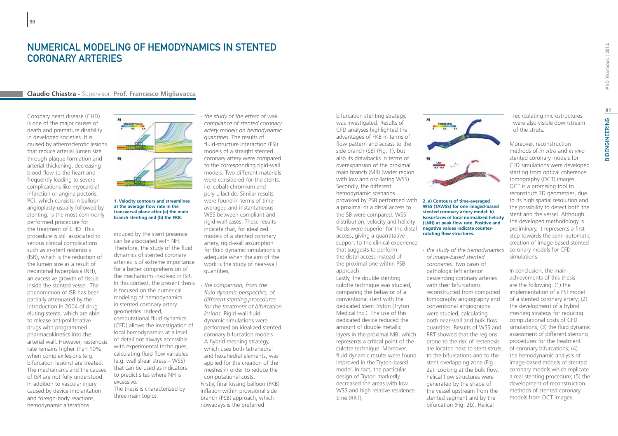## Numerical modeling of hemodynamics in stented coronary arteries

#### **Claudio Chiastra -** Supervisor: **Prof. Francesco Migliavacca**

Coronary heart disease (CHD) is one of the major causes of death and premature disability in developed societies. It is caused by atherosclerotic lesions that reduce arterial lumen size through plaque formation and arterial thickening, decreasing blood flow to the heart and frequently leading to severe complications like myocardial infarction or angina pectoris. PCI, which consists in balloon angioplasty usually followed by stenting, is the most commonly performed procedure for the treatment of CHD. This procedure is still associated to serious clinical complications such as in-stent restenosis (ISR), which is the reduction of the lumen size as a result of neointimal hyperplasia (NH), an excessive growth of tissue inside the stented vessel. The phenomenon of ISR has been partially attenuated by the introduction in 2004 of drug eluting stents, which are able to release antiproliferative drugs with programmed pharmacokinetics into the arterial wall. However, restenosis rate remains higher than 10% when complex lesions (e.g. bifurcation lesions) are treated. The mechanisms and the causes of ISR are not fully understood. In addition to vascular injury caused by device implantation and foreign-body reactions, hemodynamic alterations



**1. Velocity contours and streamlines at the average flow rate in the transversal plane after (a) the main branch stenting and (b) the FKB.**

induced by the stent presence can be associated with NH. Therefore, the study of the fluid dynamics of stented coronary arteries is of extreme importance for a better comprehension of the mechanisms involved in ISR. In this context, the present thesis is focused on the numerical modeling of hemodynamics in stented coronary artery geometries. Indeed, computational fluid dynamics (CFD) allows the investigation of local hemodynamics at a level of detail not always accessible with experimental techniques, calculating fluid flow variables (e.g. wall shear stress – WSS) that can be used as indicators to predict sites where NH is excessive. The thesis is characterized by

three main topics:

∙ *the study of the effect of wall compliance of stented coronary artery models on hemodynamic quantities*. The results of fluid-structure interaction (FSI) models of a straight stented coronary artery were compared to the corresponding rigid-wall models. Two different materials were considered for the stents, i.e. cobalt-chromium and poly-L-lactide. Similar results were found in terms of timeaveraged and instantaneous WSS between compliant and rigid-wall cases. These results indicate that, for idealized models of a stented coronary artery, rigid-wall assumption for fluid dynamic simulations is adequate when the aim of the work is the study of near-wall quantities;

∙ *the comparison, from the fluid dynamic perspective, of different stenting procedures for the treatment of bifurcation lesions.* Rigid-wall fluid dynamic simulations were performed on idealized stented coronary bifurcation models. A hybrid meshing strategy, which uses both tetrahedral and hexahedral elements, was applied for the creation of the meshes in order to reduce the computational costs. Firstly, final kissing balloon (FKB) inflation within provisional side branch (PSB) approach, which nowadays is the preferred

bifurcation stenting strategy, was investigated. Results of CFD analyses highlighted the advantages of FKB in terms of flow pattern and access to the side branch (SB) (Fig. 1), but also its drawbacks in terms of overexpansion of the proximal main branch (MB) (wider region with low and oscillating WSS). Secondly, the different hemodynamic scenarios provoked by PSB performed with a proximal or a distal access to the SB were compared. WSS distribution, velocity and helicity fields were superior for the distal access, giving a quantitative support to the clinical experience that suggests to perform the distal access instead of the proximal one within PSB approach.

Lastly, the double stenting culotte technique was studied, comparing the behavior of a conventional stent with the dedicated stent Tryton (Tryton Medical Inc.). The use of this dedicated device reduced the amount of double metallic layers in the proximal MB, which represents a critical point of the culotte technique. Moreover, fluid dynamic results were found improved in the Tryton-based model. In fact, the particular design of Tryton markedly decreased the areas with low WSS and high relative residence time (RRT);



#### **2. a) Contours of time-averaged WSS (TAWSS) for one imaged-based stented coronary artery model. b) Isosurfaces of local normalized helicity (LNH) at peak flow rate. Positive and negative values indicate counterrotating flow structures.**

∙ *the study of the hemodynamics of image-based stented coronaries.* Two cases of pathologic left anterior descending coronary arteries with their bifurcations reconstructed from computed tomography angiography and conventional angiography were studied, calculating both near-wall and bulk flow quantities. Results of WSS and RRT showed that the regions prone to the risk of restenosis are located next to stent struts, to the bifurcations and to the stent overlapping zone (Fig. 2a). Looking at the bulk flow, helical flow structures were generated by the shape of the vessel upstream from the stented segment and by the bifurcation (Fig. 2b). Helical

recirculating microstructures were also visible downstream of the struts.

Moreover, reconstruction methods of *in vitro* and *in vivo* stented coronary models for CFD simulations were developed starting from optical coherence tomography (OCT) images. OCT is a promising tool to reconstruct 3D geometries, due to its high spatial resolution and the possibility to detect both the stent and the vessel. Although the developed methodology is preliminary, it represents a first step towards the semi-automatic creation of image-based stented coronary models for CFD simulations.

In conclusion, the main achievements of this thesis are the following: (1) the implementation of a FSI model of a stented coronary artery; (2) the development of a hybrid meshing strategy for reducing computational costs of CFD simulations; (3) the fluid dynamic assessment of different stenting procedures for the treatment of coronary bifurcations; (4) the hemodynamic analysis of image-based models of stented coronary models which replicate a real stenting procedure; (5) the development of reconstruction methods of stented coronary models from OCT images.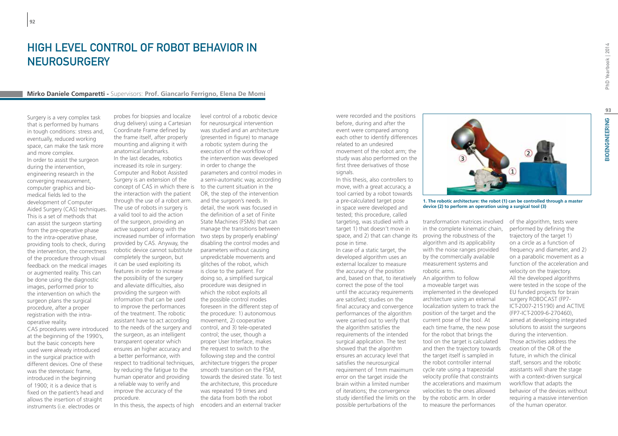**92**

# High Level Control of Robot Behavior in **NEUROSURGERY**

#### **Mirko Daniele Comparetti -** Supervisors: **Prof. Giancarlo Ferrigno, Elena De Momi**

Surgery is a very complex task that is performed by humans in tough conditions: stress and, eventually, reduced working space, can make the task more and more complex. In order to assist the surgeon during the intervention, engineering research in the converging measurement, computer graphics and biomedical fields led to the development of Computer Aided Surgery (CAS) techniques. This is a set of methods that can assist the surgeon starting from the pre-operative phase to the intra-operative phase, providing tools to check, during the intervention, the correctness of the procedure through visual feedback on the medical images or augmented reality. This can be done using the diagnostic images, performed prior to the intervention on which the surgeon plans the surgical procedure, after a proper registration with the intraoperative reality. CAS procedures were introduced

at the beginning of the 1990's, but the basic concepts here used were already introduced in the surgical practice with different devices. One of these was the stereotaxic frame, introduced in the beginning of 1900; it is a device that is fixed on the patient's head and allows the insertion of straight instruments (i.e. electrodes or

probes for biopsies and localize drug delivery) using a Cartesian Coordinate Frame defined by the frame itself, after properly mounting and aligning it with anatomical landmarks. In the last decades, robotics increased its role in surgery: Computer and Robot Assisted Surgery is an extension of the concept of CAS in which there is to the current situation in the the interaction with the patient through the use of a robot arm. The use of robots in surgery is a valid tool to aid the action of the surgeon, providing an active support along with the provided by CAS. Anyway, the robotic device cannot substitute completely the surgeon, but it can be used exploiting its features in order to increase the possibility of the surgery and alleviate difficulties, also providing the surgeon with information that can be used to improve the performances of the treatment. The robotic assistant have to act according to the needs of the surgery and the surgeon, as an intelligent transparent operator which ensures an higher accuracy and a better performance, with by reducing the fatigue to the human operator and providing a reliable way to verify and improve the accuracy of the procedure.

increased number of information two steps by properly enabling/ respect to traditional techniques, architecture triggers the proper In this thesis, the aspects of high encoders and an external tracker level control of a robotic device for neurosurgical intervention was studied and an architecture (presented in figure) to manage a robotic system during the execution of the workflow of the intervention was developed in order to change the parameters and control modes in a semi-automatic way, according OR, the step of the intervention and the surgeon's needs. In detail, the work was focused in the definition of a set of Finite State Machines (FSMs) that can manage the transitions between disabling the control modes and parameters without causing unpredictable movements and glitches of the robot, which is close to the patient. For doing so, a simplified surgical procedure was designed in which the robot exploits all the possible control modes foreseen in the different step of the procedure: 1) autonomous movement, 2) cooperative control, and 3) tele-operated control; the user, though a proper User Interface, makes the request to switch to the following step and the control smooth transition on the FSM, towards the desired state. To test the architecture, this procedure was repeated 19 times and the data from both the robot

were recorded and the positions before, during and after the event were compared among each other to identify differences related to an undesired movement of the robot arm; the study was also performed on the first three derivatives of those signals.

In this thesis, also controllers to move, with a great accuracy, a tool carried by a robot towards a pre-calculated target pose in space were developed and tested; this procedure, called targeting, was studied with a target 1) that doesn't move in space, and 2) that can change its proving the robustness of the pose in time.

In case of a static target, the developed algorithm uses an external localizer to measure the accuracy of the position and, based on that, to iteratively An algorithm to follow correct the pose of the tool until the accuracy requirements are satisfied; studies on the final accuracy and convergence performances of the algorithm were carried out to verify that the algorithm satisfies the requirements of the intended surgical application. The test showed that the algorithm ensures an accuracy level that satisfies the neurosurgical requirement of 1mm maximum error on the target inside the brain within a limited number of iterations; the convergence study identified the limits on the by the robotic arm. In order possible perturbations of the



**1. The robotic architecture: the robot (1) can be controlled through a master device (2) to perform an operation using a surgical tool (3)**

transformation matrices involved in the complete kinematic chain, algorithm and its applicability with the noise ranges provided by the commercially available measurement systems and robotic arms. a moveable target was implemented in the developed architecture using an external localization system to track the position of the target and the current pose of the tool. At each time frame, the new pose for the robot that brings the tool on the target is calculated and then the trajectory towards the target itself is sampled in the robot controller internal cycle rate using a trapezoidal velocity profile that constraints the accelerations and maximum velocities to the ones allowed to measure the performances

of the algorithm, tests were performed by defining the trajectory of the target 1) on a circle as a function of frequency and diameter, and 2) on a parabolic movement as a function of the acceleration and velocity on the trajectory. All the developed algorithms were tested in the scope of the EU funded projects for brain surgery ROBOCAST (FP7- ICT-2007-215190) and ACTIVE (FP7-ICT-2009-6-270460), aimed at developing integrated solutions to assist the surgeons during the intervention. Those activities address the creation of the OR of the future, in which the clinical staff, sensors and the robotic assistants will share the stage with a context-driven surgical workflow that adapts the behavior of the devices without requiring a massive intervention of the human operator.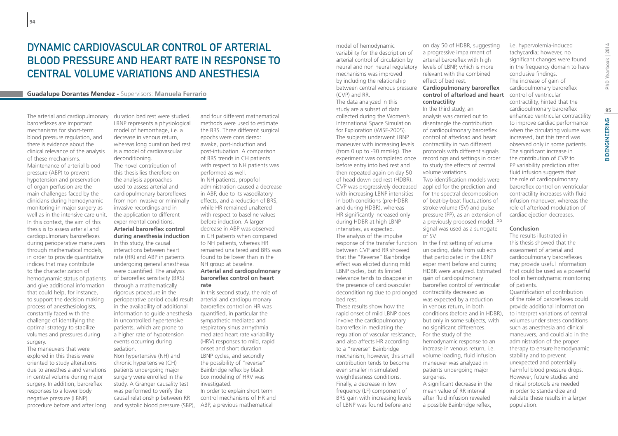## Dynamic cardiovascular control of arterial blood pressure and heart rate in response to central volume variations and anesthesia

#### **Guadalupe Dorantes Mendez -** Supervisors: **Manuela Ferrario**

The arterial and cardiopulmonary baroreflexes are important mechanisms for short-term blood pressure regulation, and there is evidence about the clinical relevance of the analysis of these mechanisms. Maintenance of arterial blood pressure (ABP) to prevent hypotension and preservation of organ perfusion are the main challenges faced by the clinicians during hemodynamic monitoring in major surgery as well as in the intensive care unit. In this context, the aim of this thesis is to assess arterial and cardiopulmonary baroreflexes during perioperative maneuvers through mathematical models, in order to provide quantitative indices that may contribute to the characterization of hemodynamic status of patients and give additional information that could help, for instance, to support the decision making process of anesthesiologists, constantly faced with the challenge of identifying the optimal strategy to stabilize volumes and pressures during surgery.

The maneuvers that were explored in this thesis were oriented to study alterations due to anesthesia and variations in central volume during major surgery. In addition, baroreflex responses to a lower body negative pressure (LBNP) procedure before and after long

duration bed rest were studied. LBNP represents a physiological model of hemorrhage, i.e. a decrease in venous return, whereas long duration bed rest is a model of cardiovascular deconditioning. The novel contribution of this thesis lies therefore on the analysis approaches used to assess arterial and cardiopulmonary baroreflexes from non invasive or minimally invasive recordings and in the application to different experimental conditions.

### **Arterial baroreflex control during anesthesia induction**

In this study, the causal interactions between heart rate (HR) and ABP in patients undergoing general anesthesia were quantified. The analysis of baroreflex sensitivity (BRS) through a mathematically rigorous procedure in the perioperative period could result in the availability of additional information to guide anesthesia in uncontrolled hypertensive patients, which are prone to a higher rate of hypotension events occurring during sedation.

Non hypertensive (NH) and chronic hypertensive (CH) patients undergoing major surgery were enrolled in the study. A Granger causality test was performed to verify the causal relationship between RR

and four different mathematical methods were used to estimate the BRS. Three different surgical epochs were considered: awake, post-induction and post-intubation. A comparison of BRS trends in CH patients with respect to NH patients was performed as well. In NH patients, propofol administration caused a decrease in ABP, due to its vasodilatory effects, and a reduction of BRS, while HR remained unaltered with respect to baseline values before induction. A larger decrease in ABP was observed in CH patients when compared to NH patients, whereas HR remained unaltered and BRS was found to be lower than in the NH group at baseline. **Arterial and cardiopulmonary baroreflex control on heart** 

# **rate**

In this second study, the role of arterial and cardiopulmonary baroreflex control on HR was quantified, in particular the sympathetic mediated and respiratory sinus arrhythmia mediated heart rate variability (HRV) responses to mild, rapid onset and short duration LBNP cycles, and secondly the possibility of "reverse" Bainbridge reflex by black box modeling of HRV was investigated.

and systolic blood pressure (SBP), ABP, a previous mathematical In order to explain short term control mechanisms of HR and model of hemodynamic variability for the description of arterial control of circulation by neural and non neural regulatory levels of LBNP, which is more mechanisms was improved by including the relationship between central venous pressure (CVP) and RR. The data analyzed in this study are a subset of data collected during the Women's International Space Simulation for Exploration (WISE-2005). The subjects underwent LBNP maneuver with increasing levels (from 0 up to -30 mmHg). The experiment was completed once before entry into bed rest and then repeated again on day 50 of head down bed rest (HDBR). CVP was progressively decreased with increasing LBNP intensities in both conditions (pre-HDBR and during HDBR), whereas HR significantly increased only during HDBR at high LBNP intensities, as expected. The analysis of the impulse response of the transfer function between CVP and RR showed that the "Reverse" Bainbridge effect was elicited during mild LBNP cycles, but its limited relevance tends to disappear in the presence of cardiovascular deconditioning due to prolonged bed rest.

These results show how the rapid onset of mild LBNP does involve the cardiopulmonary baroreflex in mediating the regulation of vascular resistance, For the study of the and also affects HR according to a "reverse" Bainbridge mechanism; however, this small contribution tends to become even smaller in simulated weightlessness conditions. Finally, a decrease in low frequency (LF) component of BRS gain with increasing levels of LBNP was found before and

on day 50 of HDBR, suggesting a progressive impairment of arterial baroreflex with high relevant with the combined effect of bed rest.

#### **Cardiopulmonary baroreflex control of afterload and heart contractility**

In the third study, an analysis was carried out to disentangle the contribution of cardiopulmonary baroreflex control of afterload and heart contractility in two different protocols with different signals recordings and settings in order to study the effects of central volume variations. Two identification models were

applied for the prediction and for the spectral decomposition of beat-by-beat fluctuations of stroke volume (SV) and pulse pressure (PP), as an extension of a previously proposed model. PP signal was used as a surrogate of SV.

In the first setting of volume unloading, data from subjects that participated in the LBNP experiment before and during HDBR were analyzed. Estimated gain of cardiopulmonary baroreflex control of ventricular contractility decreased as was expected by a reduction in venous return, in both conditions (before and in HDBR), but only in some subjects, with no significant differences. hemodynamic response to an increase in venous return, i.e. volume loading, fluid infusion maneuver was analyzed in patients undergoing major surgeries. A significant decrease in the mean value of RR interval

after fluid infusion revealed a possible Bainbridge reflex,

tachycardia; however, no significant changes were found in the frequency domain to have conclusive findings. The increase of gain of cardiopulmonary baroreflex control of ventricular contractility, hinted that the cardiopulmonary baroreflex enhanced ventricular contractility to improve cardiac performance when the circulating volume was increased, but this trend was observed only in some patients. The significant increase in the contribution of CVP to PP variability prediction after fluid infusion suggests that the role of cardiopulmonary baroreflex control on ventricular contractility increases with fluid infusion maneuver, whereas the role of afterload modulation of cardiac ejection decreases.

i.e. hypervolemia-induced

#### **Conclusion**

The results illustrated in this thesis showed that the assessment of arterial and cardiopulmonary baroreflexes may provide useful information that could be used as a powerful tool in hemodynamic monitoring of patients. Quantification of contribution of the role of baroreflexes could provide additional information to interpret variations of central volumes under stress conditions such as anesthesia and clinical maneuvers, and could aid in the administration of the proper therapy to ensure hemodynamic stability and to prevent unexpected and potentially harmful blood pressure drops. However, future studies and clinical protocols are needed in order to standardize and validate these results in a larger population.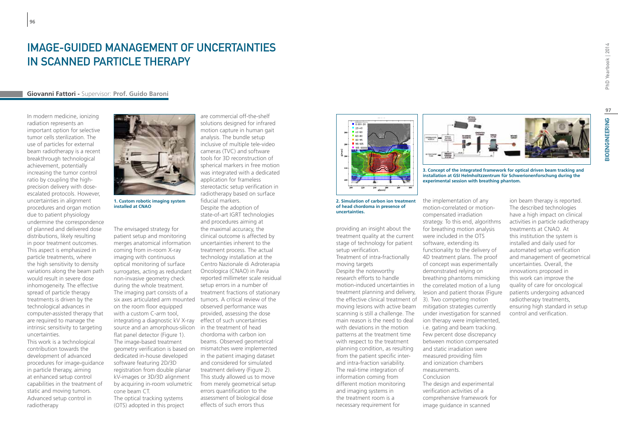# Image-guided management of uncertainties in scanned particle therapy

### **Giovanni Fattori -** Supervisor: **Prof. Guido Baroni**

In modern medicine, ionizing radiation represents an important option for selective tumor cells sterilization. The use of particles for external beam radiotherapy is a recent breakthrough technological achievement, potentially increasing the tumor control ratio by coupling the highprecision delivery with doseescalated protocols. However, uncertainties in alignment procedures and organ motion due to patient physiology undermine the correspondence of planned and delivered dose distributions, likely resulting in poor treatment outcomes. This aspect is emphasized in particle treatments, where the high sensitivity to density variations along the beam path would result in severe dose inhomogeneity. The effective spread of particle therapy treatments is driven by the technological advances in computer-assisted therapy that are required to manage the intrinsic sensitivity to targeting uncertainties.

**96**

This work is a technological contribution towards the development of advanced procedures for image-guidance in particle therapy, aiming at enhanced setup control capabilities in the treatment of static and moving tumors. Advanced setup control in radiotherapy



**1. Custom robotic imaging system installed at CNAO**

The envisaged strategy for patient setup and monitoring comes. The merges anatomical information and uncertainties inherent to the stage stage ized in coming from in-room X-ray treatment process. The actual setup setup setup imaging with continuous optical monitoring of surface eam path surrogates, acting as redundant Oncologica (CNAO) in Pavia and the Subspace methods. With the Krylov subspa non-invasive geometry check ffective during the whole treatment. Setup errors in a number of The imaging part consists of a The imaging part consists or a the different inactions or stationary<br>six axes articulated arm mounted tumors. A critical review of the the raster of the raster on the room floor equipped because deformance was<br>grid. This is in the room floor equipped before particle numbers between ratios of the change of particle numbers between radius of the change of the change of the change o with a custom C-arm tool, ge the constrainting a diagnostic kV X-ray effect of such uncertainties consumer the number of patients treated per day. The main targeting source and an amorphous-silicon sin the treatment of head some with with compare with we did not obs<br>Some that panel detector (Figure 1) some chordoma with carbon ion flat panel detector (Figure 1). The image-based treatment geometry verification is based on dedicated in-house developed guidance software featuring 2D/3D registration from double planar ntrol kV-images or 3D/3D alignment This study allowed us to move informed informed to the objective function o<br>Succession of RBE-weighted and objective function of the objective function of the contract of the objective fu by acquiring in-room volumetric cone beam CT. The optical tracking systems (OTS) adopted in this project sulting butter and monitoring clinical outcome is affected by the treatn There alternative integrity with Continuous and technology installation at the time investment of intra-mactionally and the density optical monitoring of surface Centro Nazionale di Adroterapia and moving targets of compar dose a mon-invasive geometry check a reported millimeter scale residual and stresse and the seculture of a provided, assessing the dose that with a custom C-arm tool, the provided, assessing the dose beams. Observed geometrical conclusions of particle numbers and conclusion of particle numbers of particle numbers of particle numbers of particle numbers of particle numbers of particle numbers of particle numbers of part turient of the particle in the particle in the particle in the particle numbers with the particle is the particle of the particle is the particle in the particle is the particle in the particle in the carbon in the carbon

solutions designed for infrared motion capture in human gait analysis. The bundle setup inclusive of multiple tele-video cameras (TVC) and software tools for 3D reconstruction of **Figure 2. Plan no 299. Plan no 299.** Spherical markers in free motion of its algorithms and its algorithms as function of its algorithms and iteration of its algorithms as function of its algorithms as function of its steps (left hand side) and side of the side of time (right hand side of the side of time (right hand side of time (right hand side of time (right hand side of time (right hand side of time (right) DVH (left hand side of ti application for frameless  $\blacksquare$ stereotactic setup verification in radiotherapy based on surface fiducial markers. Despite the adoption of For the sake of completeness we additionally present the Levenberg–Marquardt logy explores the minimization of the number of the number of the number of iteration and the number of iterations are the number of iterations and the number of iterations are the number of iterations are the number of it and procedures aiming at pondence<br>
red dose in The envisaged strategy for the maximal accuracy, the interest provices uncertainties inherent to the treatment process. The actual technology installation at the Oncologica (CNAO) in Pavia setup errors in a number of treatment fractions of stationary observed performance was chordoma with carbon ion mismatches were implemented in the patient imaging dataset and considered for simulated treatment delivery (Figure 2). This study allowed us to move from merely geometrical setup assessment of biological dose effects of such errors thus

are commercial off-the-shelf





software, extending its

ion therapy were implemented, i.e. gating and beam tracking. Few percent dose discrepancy between motion compensated and static irradiation were measured providing film and ionization chambers

The design and experimental verification activities of a comprehensive framework for image guidance in scanned

measurements. Conclusion

**2. Simulation of carbon ion treatment** the i **of head chordoma in presence of** and motion in a CT-slice (right hand side). Only results of CGFR optimization are shown. Only results of CGFR optimization are shown. Only results of CGFR optimization are shown. The shown **uncertainties.**<br> **uncertainties.** 

minity at the same of complete of complete the same of completeness we addition that the leven berger of complete the leven berger of complete the leven berger of complete the leven berger of complete the levenberg–Marquar treatment quality, the current of item is affected by the number of iteration were investigated. As far as far as far as far as far as far as far as far as far as far as far as far as far as far as far as far as far as far stage of technology for patient were<br>inherent to the stage of technology for patient soft setup verification. nstallation at the **Cholesky Cholesky Cholesky Cholesky decomposition** 4D t moving targets CNAO) in Pavia and the Subspace the iterative methods. When the CNAO in Pavia imeter scale residual and the computation of approximate by a factor of the control of approximate by the contr in a number of **which is by farmer in the usage of the usage of the usage of the usage of LMM** in a number of  $\mathbf{r}$ ns of stationary external the treatment planning and delivery, lesion tical review of the state of the effective clinical treatment of 3). Two competing motion formance was **noting the strategies** correctly moving lesions with active beam mitigation strategies currently Francisco could potential consuming the number of patients treated per day. The number of patients treated per day. The number of patients treated per day. The number of patients treated per day. We examine the number of p main reason is the need to deal independent plans and independent plans and independent plans and independent of  $\frac{1}{2}$  and  $\frac{1}{2}$  and  $\frac{1}{2}$  and  $\frac{1}{2}$  and  $\frac{1}{2}$  and  $\frac{1}{2}$  and  $\frac{1}{2}$  and  $\frac{1}{2}$  a Fluctuations in the motion of head<br>
ent of head by with deviations in the motion patterns at the treatment time with respect to the treatment planning condition, as resulting t imaging dataset **the task for the optimization** of the task from the patient specific interand intra-fraction variability. The particle numbers with the particle numbers with the particle numbers of scanned carbon in the particle numbers with the particle numbers with the particle numbers of scanned carbon in th The real-time integration of information coming from different motion monitoring and imaging systems in the treatment room is a necessary requirement for  $t_{\text{inter}}$  are extremely large  $\frac{1}{2}$  and  $\frac{1}{2}$  and  $\frac{1}{2}$  are  $\frac{1}{2}$  and  $\frac{1}{2}$  and  $\frac{1}{2}$  are  $\frac{1}{2}$  and  $\frac{1}{2}$  and  $\frac{1}{2}$  are  $\frac{1}{2}$  and  $\frac{1}{2}$  are  $\frac{1}{2}$  and  $\frac{1}{2}$  are  $\frac{1}{2}$ every iteration setup verification. The system of linear equations has to be solved. So we shall the system of  $\sim$ 

OPTICAL

**3. Concept of the integrated framework for optical driven beam tracking and installation at GSI Helmholtzzentrum für Schwerionenforschung during the experimental session with breathing phantom.**

ion beam therapy is reported. The described technologies have a high impact on clinical activities in particle radiotherapy treatments at CNAO. At this institution the system is installed and daily used for automated setup verification and management of geometrical uncertainties. Overall, the innovations proposed in this work can improve the quality of care for oncological patients undergoing advanced radiotherapy treatments, ensuring high standard in setup control and verification.

motion-correlated or motioncompensated irradiation strategy. To this end, algorithms for breathing motion analysis were included in the OTS functionality to the delivery of 4D treatment plans. The proof of concept was experimentally demonstrated relying on breathing phantoms mimicking the correlated motion of a lung lesion and patient thorax (Figure under investigation for scanned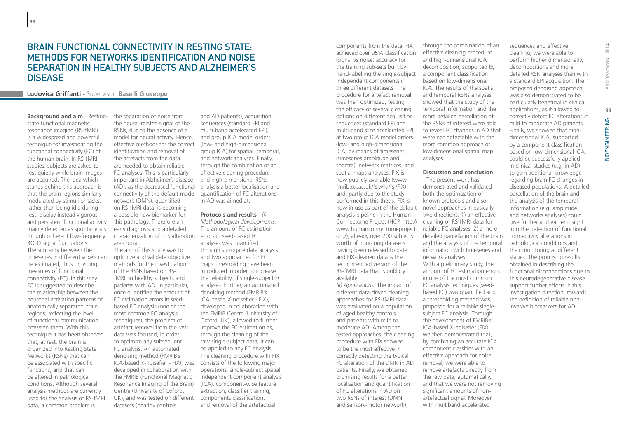### Brain functional connectivity in resting state: methods for networks identification and noise separation in healthy subjects and Alzheimer's **DISEASE**

### **Ludovica Griffanti -** Supervisor: **Baselli Giuseppe**

**Background and aim** - Restingstate functional magnetic resonance imaging (RS-fMRI) is a widespread and powerful technique for investigating the functional connectivity (FC) of the human brain. In RS-fMRI studies, subjects are asked to rest quietly while brain images are acquired. The idea which stands behind this approach is that the brain regions similarly modulated by stimuli or tasks, rather than being idle during rest, display instead vigorous and persistent functional activity mainly detected as spontaneous though coherent low-frequency BOLD signal fluctuations. The similarity between the timeseries in different voxels can be estimated, thus providing measures of functional connectivity (FC). In this way FC is suggested to describe the relationship between the neuronal activation patterns of anatomically separated brain regions, reflecting the level of functional communication between them. With this technique it has been observed that, at rest, the brain is organized into Resting State Networks (RSNs) that can be associated with specific functions, and that can be altered in pathological conditions. Although several analysis methods are currently used for the analysis of RS-fMRI data, a common problem is

the separation of noise from the neural-related signal of the RSNs, due to the absence of a model for neural activity. Hence, effective methods for the correct identification and removal of the artefacts from the data are needed to obtain reliable FC analyses. This is particularly important in Alzheimer's disease (AD), as the decreased functional connectivity of the default mode network (DMN), quantified on RS-fMRI data, is becoming a possible new biomarker for this pathology. Therefore an early diagnosis and a detailed characterization of this alteration errors in seed-based FC are crucial.

The aim of this study was to optimize and validate objective methods for the investigation of the RSNs based on RSfMRI, in healthy subjects and patients with AD. In particular, once quantified the amount of FC estimation errors in seedbased FC analysis (one of the most common FC analysis techniques), the problem of artefact removal from the raw data was focused, in order to optimize any subsequent FC analysis. An automated denoising method (FMRIB's developed in collaboration with the FMRIB (Functional Magnetic Resonance Imaging of the Brain) Centre (University of Oxford, UK), and was tested on different components classification, datasets (healthy controls

and AD patients), acquisition sequences (standard EPI and multi-band accelerated EPI), and group ICA model orders (low- and high-dimensional group ICA) for spatial, temporal, and network analyses. Finally, through the combination of an effective cleaning procedure and high-dimensional RSNs analysis a better localisation and quantification of FC alterations in AD was aimed at.

ICA-based X-noisefier - FIX), was consists of the following major **Protocols and results** - *(i) Methodological developments*. The amount of FC estimation analyses was quantified through surrogate data analysis and two approaches for FC maps thresholding have been introduced in order to increase the reliability of single-subject FC analyses. Further, an automated denoising method (FMRIB's ICA-based X-noisefier - FIX), developed in collaboration with the FMRIB Centre (University of Oxford, UK), allowed to further improve the FC estimation as, through the cleaning of the raw single-subject data, it can be applied to any FC analysis. The cleaning procedure with FIX operations: single-subject spatial independent component analysis (ICA), component-wise feature extraction, classifier training, and removal of the artefactual

components from the data. FIX achieved over 95% classification (signal vs noise) accuracy for the training sub-sets built by hand-labelling the single-subject a component classification independent components in three different datasets. The procedure for artefact removal was then optimized, testing the efficacy of several cleaning options on different acquisition sequences (standard EPI and multi-band slice accelerated EPI) at two group ICA model orders (low- and high-dimensional ICA) by means of timeseries (timeseries amplitude and spectra), network matrices, and spatial maps analyses. FIX is now publicly available (www. fmrib.ox.ac.uk/fslwiki/fsl/FIX) and, partly due to the study performed in this thesis, FIX is now in use as part of the default novel approaches in basically analysis pipeline in the Human Connectome Project (HCP, http:// www.humanconnectomeproject. org/); already over 200 subjects' worth of hour-long datasets having been released to date and FIX-cleaned data is the recommended version of the RS-fMRI data that is publicly available.

*(ii) Applications*. The impact of different data-driven cleaning approaches for RS-fMRI data was evaluated on a population of aged healthy controls and patients with mild to moderate AD. Among the tested approaches, the cleaning procedure with FIX showed to be the most effective in correctly detecting the typical FC alteration of the DMN in AD patients. Finally, we obtained promising results for a better localisation and quantification of FC alterations in AD on two RSNs of interest (DMN and sensory-motor network),

through the combination of an effective cleaning procedure and high-dimensional ICA decomposition, supported by based on low-dimensional ICA. The results of the spatial and temporal RSNs analyses showed that the study of the temporal information and the more detailed parcellation of the RSNs of interest were able to reveal FC changes in AD that were not detectable with the more common approach of low-dimensional spatial map analyses.

#### **Discussion and conclusion**

- The present work has demonstrated and validated both the optimization of known protocols and also two directions: 1) an effective cleaning of RS-fMRI data for reliable FC analyses; 2) a more detailed parcellation of the brain and the analysis of the temporal information with timeseries and network analyses. With a preliminary study, the amount of FC estimation errors in one of the most common FC analysis techniques (seedbased FC) was quantified and a thresholding method was proposed for a reliable singlesubject FC analysis. Through the development of FMRIB's ICA-based X-noisefier (FIX), we then demonstrated that, by combining an accurate ICA component classifier with an effective approach for noise removal, we were able to remove artefacts directly from the raw data, automatically, and that we were not removing significant amounts of nonartefactual signal. Moreover, with multiband accelerated

cleaning, we were able to perform higher dimensionality decompositions and more detailed RSN analyses than with a standard EPI acquisition. The proposed denoising approach was also demonstrated to be particularly beneficial in clinical applications, as it allowed to correctly detect FC alterations in mild to moderate AD patients. Finally, we showed that highdimensional ICA, supported by a component classification based on low-dimensional ICA, could be successfully applied in clinical studies (e.g. in AD) to gain additional knowledge regarding brain FC changes in diseased populations. A detailed parcellation of the brain and the analysis of the temporal information (e.g. amplitude and networks analyses) could give further and earlier insight into the detection of functional connectivity alterations in pathological conditions and their monitoring at different stages. The promising results obtained in describing the functional disconnections due to this neurodegenerative disease support further efforts in this investigation direction, towards the definition of reliable noninvasive biomarkers for AD.

sequences and effective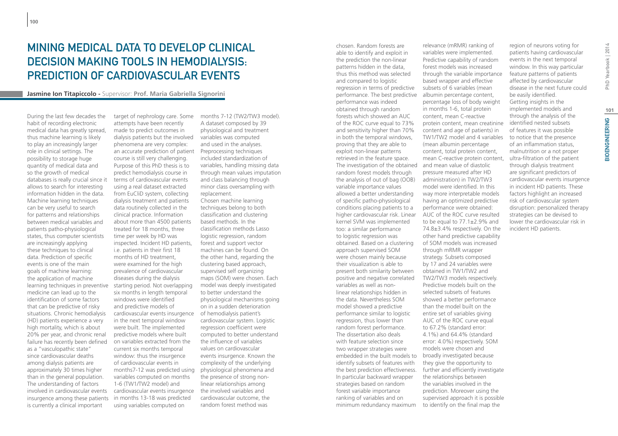# Mining medical data to develop clinical decision making tools in hemodialysis: prediction of cardiovascular events

**Jasmine Ion Titapiccolo -** Supervisor: **Prof. Maria Gabriella Signorini**

During the last few decades the habit of recording electronic medical data has greatly spread, thus machine learning is likely to play an increasingly larger role in clinical settings. The possibility to storage huge quantity of medical data and so the growth of medical databases is really crucial since it allows to search for interesting information hidden in the data. Machine learning techniques can be very useful to search for patterns and relationships between medical variables and patients patho-physiological states, thus computer scientists are increasingly applying these techniques to clinical data. Prediction of specific events is one of the main goals of machine learning: the application of machine learning techniques in preventive medicine can lead up to the identification of some factors that can be predictive of risky situations. Chronic hemodialysis (HD) patients experience a very high mortality, which is about 20% per year, and chronic renal failure has recently been defined as a "vasculopathic state" since cardiovascular deaths among dialysis patients are approximately 30 times higher than in the general population. The understanding of factors involved in cardiovascular events insurgence among these patients is currently a clinical important

target of nephrology care. Some months 7-12 (TW2/TW3 model). attempts have been recently made to predict outcomes in dialysis patients but the involved phenomena are very complex: an accurate prediction of patient course is still very challenging. Purpose of this PhD thesis is to predict hemodialysis course in terms of cardiovascular events using a real dataset extracted from EuCliD system, collecting dialysis treatment and patients data routinely collected in the clinical practice. Information about more than 4500 patients treated for 18 months, three time per week by HD was inspected. Incident HD patients, i.e. patients in their first 18 months of HD treatment, were examined for the high prevalence of cardiovascular diseases during the dialysis starting period. Not overlapping six months in length temporal windows were identified and predictive models of cardiovascular events insurgence in the next temporal window were built. The implemented predictive models where built on variables extracted from the current six months temporal window: thus the insurgence of cardiovascular events in months7-12 was predicted using variables computed on months 1-6 (TW1/TW2 model) and cardiovascular events insurgence in months 13-18 was predicted using variables computed on

A dataset composed by 39 physiological and treatment variables was computed and used in the analyses. Preprocessing techniques included standardization of variables, handling missing data through mean values imputation and class balancing through minor class oversampling with replacement. Chosen machine learning techniques belong to both classification and clustering based methods. In the classification methods Lasso logistic regression, random forest and support vector machines can be found. On the other hand, regarding the clustering based approach, supervised self organizing maps (SOM) were chosen. Each model was deeply investigated to better understand the physiological mechanisms going on in a sudden deterioration of hemodialysis patient's cardiovascular system. Logistic regression coefficient were computed to better understand the influence of variables values on cardiovascular events insurgence. Known the complexity of the underlying physiological phenomena and the presence of strong nonlinear relationships among the involved variables and cardiovascular outcome, the random forest method was

chosen. Random forests are able to identify and exploit in the prediction the non-linear patterns hidden in the data, thus this method was selected and compared to logistic regression in terms of predictive performance. The best predictive albumin percentage content, performance was indeed obtained through random forests which showed an AUC of the ROC curve equal to 73% and sensitivity higher than 70% in both the temporal windows, proving that they are able to exploit non-linear patterns retrieved in the feature space. The investigation of the obtained and mean value of diastolic random forest models through the analysis of out of bag (OOB) variable importance values allowed a better understanding of specific patho-physiological conditions placing patients to a higher cardiovascular risk. Linear kernel SVM was implemented too: a similar performance to logistic regression was obtained. Based on a clustering approach supervised SOM were chosen mainly because their visualization is able to present both similarity between positive and negative correlated variables as well as nonlinear relationships hidden in the data. Nevertheless SOM model showed a predictive performance similar to logistic regression, thus lower than random forest performance. The dissertation also deals with feature selection since two wrapper strategies were embedded in the built models to broadly investigated because identify subsets of features with the best prediction effectiveness. In particular backward wrapper strategies based on random forest variable importance ranking of variables and on minimum redundancy maximum

relevance (mRMR) ranking of variables were implemented. Predictive capability of random forest models was increased through the variable importance based wrapper and effective subsets of 6 variables (mean percentage loss of body weight in months 1-6, total protein content, mean C-reactive protein content, mean creatinine content and age of patients) in TW1/TW2 model and 4 variables (mean albumin percentage content, total protein content, mean C-reactive protein content, pressure measured after HD administration) in TW2/TW3 model were identified. In this way more interpretable models having an optimized predictive performance were obtained: AUC of the ROC curve resulted to be equal to 77.1±2.9% and 74.8±3.4% respectively. On the other hand predictive capability of SOM models was increased through mRMR wrapper strategy. Subsets composed by 17 and 24 variables were obtained in TW1/TW2 and TW2/TW3 models respectively. Predictive models built on the selected subsets of features showed a better performance than the model built on the entire set of variables giving AUC of the ROC curve equal to 67.2% (standard error: 4.1%) and 64.4% (standard error: 4.0%) respectively. SOM models were chosen and they give the opportunity to further and efficiently investigate the relationships between the variables involved in the prediction. Moreover using the supervised approach it is possible to identify on the final map the

region of neurons voting for patients having cardiovascular events in the next temporal window. In this way particular feature patterns of patients affected by cardiovascular disease in the next future could be easily identified. Getting insights in the implemented models and through the analysis of the identified nested subsets of features it was possible to notice that the presence of an inflammation status, malnutrition or a not proper ultra-filtration of the patient through dialysis treatment are significant predictors of cardiovascular events insurgence in incident HD patients. These factors highlight an increased risk of cardiovascular system disruption: personalized therapy strategies can be devised to lower the cardiovascular risk in incident HD patients.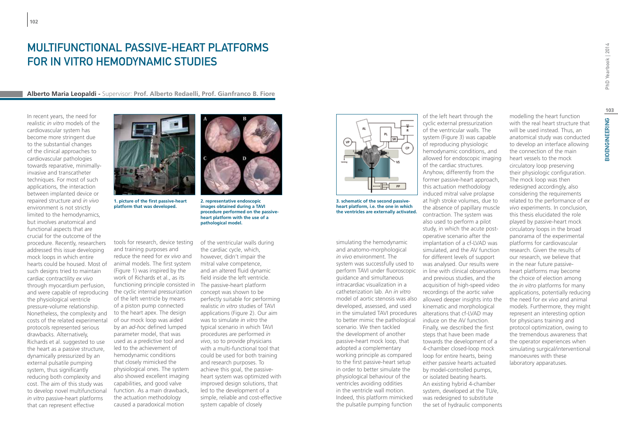# Multifunctional passive-heart platforms for in vitro hemodynamic studies

**Alberto Maria Leopaldi -** Supervisor: **prof. Alberto Redaelli, prof. Gianfranco B. Fiore**

In recent years, the need for realistic *in vitro* models of the cardiovascular system has become more stringent due to the substantial changes of the clinical approaches to cardiovascular pathologies towards reparative, minimallyinvasive and transcatheter techniques. For most of such applications, the interaction between implanted device or repaired structure and *in vivo*  environment is not strictly limited to the hemodynamics, but involves anatomical and functional aspects that are crucial for the outcome of the procedure. Recently, researchers addressed this issue developing mock loops in which entire hearts could be housed. Most of such designs tried to maintain cardiac contractility *ex vivo*  through myocardium perfusion, and were capable of reproducing the physiological ventricle pressure-volume relationship. Nonetheless, the complexity and costs of the related experimental protocols represented serious drawbacks. Alternatively, Richards et al. suggested to use the heart as a passive structure, dynamically pressurized by an external pulsatile pumping system, thus significantly reducing both complexity and cost. The aim of this study was to develop novel multifunctional *in vitro* passive-heart platforms that can represent effective



**1. picture of the first passive-heart platform that was developed.**

tools for research, device testing and training purposes and reduce the need for *ex vivo* and animal models. The first system (Figure 1) was inspired by the work of Richards et al., as its the cyclic internal pressurization of the left ventricle by means of a piston pump connected to the heart apex. The design of our mock loop was aided by an *ad-hoc* defined lumped parameter model, that was used as a predictive tool and led to the achievement of hemodynamic conditions that closely mimicked the physiological ones. The system also showed excellent imaging capabilities, and good valve function. As a main drawback, the actuation methodology caused a paradoxical motion



**2. representative endoscopic images obtained during a TAVI procedure performed on the passiveheart platform with the use of a pathological model.**

functioning principle consisted in The passive-heart platform of the ventricular walls during the cardiac cycle, which, however, didn't impair the mitral valve competence, and an altered fluid dynamic field inside the left ventricle. concept was shown to be perfectly suitable for performing realistic *in vitro* studies of TAVI applications (Figure 2). Our aim was to simulate *in vitro* the typical scenario in which TAVI procedures are performed *in vivo*, so to provide physicians with a multi-functional tool that could be used for both training and research purposes. To achieve this goal, the passiveheart system was optimized with improved design solutions, that led to the development of a simple, reliable and cost-effective system capable of closely



**3. schematic of the second passiveheart platform, i.e. the one in which the ventricles are externally activated.**

simulating the hemodynamic and anatomo-morphological *in vivo* environment. The system was successfully used to perform TAVI under fluoroscopic guidance and simultaneous intracardiac visualization in a catheterization lab. An *in vitro*  developed, assessed, and used in the simulated TAVI procedures alterations that cf-LVAD may to better mimic the pathological scenario. We then tackled the development of another passive-heart mock loop, that adopted a complementary working principle as compared to the first passive-heart setup in order to better simulate the physiological behaviour of the ventricles avoiding oddities in the ventricle wall motion. Indeed, this platform mimicked the pulsatile pumping function

model of aortic stenosis was also allowed deeper insights into the of the left heart through the cyclic external pressurization of the ventricular walls. The system (Figure 3) was capable of reproducing physiologic hemodynamic conditions, and allowed for endoscopic imaging of the cardiac structures. Anyhow, differently from the former passive-heart approach, this actuation methodology induced mitral valve prolapse at high stroke volumes, due to the absence of papillary muscle contraction. The system was also used to perform a pilot study, in which the acute postoperative scenario after the implantation of a cf-LVAD was simulated, and the AV function for different levels of support was analysed. Our results were in line with clinical observations and previous studies, and the acquisition of high-speed video recordings of the aortic valve kinematic and morphological induce on the AV function. Finally, we described the first steps that have been made towards the development of a 4-chamber closed-loop mock loop for entire hearts, being either passive hearts actuated by model-controlled pumps, or isolated beating hearts. An existing hybrid 4-chamber system, developed at the TU/e, was redesigned to substitute the set of hydraulic components

PhD Yearbook | 2014 BIOENGINEERING PhD Yearbook | 2014

with the real heart structure that will be used instead. Thus, an anatomical study was conducted to develop an interface allowing the connection of the main heart vessels to the mock circulatory loop preserving their physiologic configuration. The mock loop was then redesigned accordingly, also considering the requirements related to the performance of *ex vivo* experiments. In conclusion, this thesis elucidated the role played by passive-heart mock circulatory loops in the broad panorama of the experimental platforms for cardiovascular research. Given the results of our research, we believe that in the near future passiveheart platforms may become the choice of election among the *in vitro* platforms for many applications, potentially reducing the need for *ex vivo* and animal models. Furthermore, they might represent an interesting option for physicians training and protocol optimization, owing to the tremendous awareness that the operator experiences when simulating surgical/interventional manoeuvres with these laboratory apparatuses.

modelling the heart function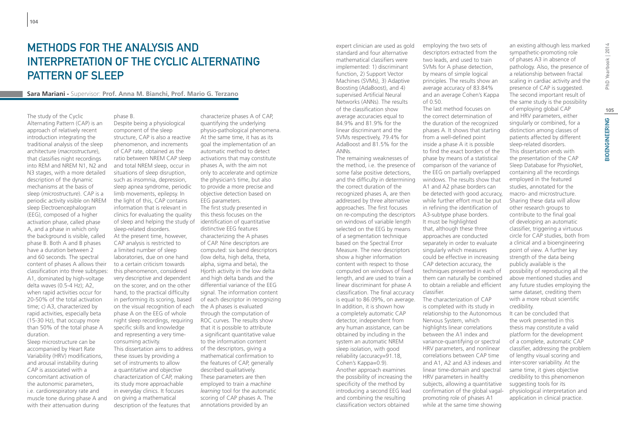# Methods for the analysis and interpretation of the Cyclic Alternating PATTERN OF SLEEP

### **Sara Mariani -** Supervisor: **Prof. Anna M. Bianchi, Prof. Mario G. Terzano**

phase B.

The study of the Cyclic Alternating Pattern (CAP) is an approach of relatively recent introduction integrating the traditional analysis of the sleep architecture (*macrostructure*), that classifies night recordings into REM and NREM N1, N2 and N3 stages, with a more detailed description of the dynamic mechanisms at the basis of sleep (*microstructure*). CAP is a periodic activity visible on NREM sleep Electroencephalogram (EEG), composed of a higher activation phase, called phase A, and a phase in which only the background is visible, called phase B. Both A and B phases have a duration between 2 and 60 seconds. The spectral content of phases A allows their classification into three subtypes: A1, dominated by high-voltage delta waves (0.5-4 Hz); A2, when rapid activities occur for 20-50% of the total activation time; c) A3, characterized by rapid activities, especially beta (15-30 Hz), that occupy more than 50% of the total phase A duration. Sleep microstructure can be

accompanied by Heart Rate Variability (HRV) modifications, and arousal instability during CAP is associated with a concomitant activation of the autonomic parameters, i.e. cardiorespiratory rate and muscle tone during phase A and with their attenuation during

component of the sleep structure, CAP is also a reactive phenomenon, and increments of CAP rate, obtained as the ratio between NREM CAP sleep and total NREM sleep, occur in situations of sleep disruption,

Despite being a physiological

such as insomnia, depression, sleep apnea syndrome, periodic limb movements, epilepsy. In the light of this, CAP contains information that is relevant in clinics for evaluating the quality of sleep and helping the study of identification of quantitative sleep-related disorders. At the present time, however, CAP analysis is restricted to a limited number of sleep laboratories, due on one hand to a certain criticism towards this phenomenon, considered very descriptive and dependent on the scorer, and on the other hand, to the practical difficulty in performing its scoring, based on the visual recognition of each phase A on the EEG of whole night sleep recordings, requiring specific skills and knowledge and representing a very timeconsuming activity. This dissertation aims to address these issues by providing a set of instruments to allow a quantitative and objective characterization of CAP, making its study more approachable in everyday clinics. It focuses on giving a mathematical description of the features that

characterize phases A of CAP, quantifying the underlying physio-pathological phenomena. At the same time, it has as its goal the implementation of an automatic method to detect activations that may constitute phases A, with the aim not only to accelerate and optimize the physician's time, but also to provide a more precise and objective detection based on EEG parameters. The first study presented in this thesis focuses on the distinctive EEG features characterizing the A phases of CAP. Nine descriptors are computed: six band descriptors (low delta, high delta, theta, alpha, sigma and beta), the Hjorth activity in the low delta and high delta bands and the differential variance of the EEG signal. The information content of each descriptor in recognizing the A phases is evaluated through the computation of ROC curves. The results show that it is possible to attribute a significant quantitative value to the information content of the descriptors, giving a mathematical confirmation to the features of CAP, generally described qualitatively. These parameters are then employed to train a *machine learning* tool for the automatic scoring of CAP phases A. The annotations provided by an

expert clinician are used as gold standard and four alternative mathematical classifiers were implemented: 1) discriminant function, 2) Support Vector Machines (SVMs), 3) Adaptive Boosting (AdaBoost), and 4) supervised Artificial Neural Networks (ANNs). The results of the classification show average accuracies equal to 84.9% and 81.9% for the linear discriminant and the SVMs respectively, 79.4% for AdaBoost and 81.5% for the ANNs.

The remaining weaknesses of the method, i.e. the presence of some false positive detections, and the difficulty in determining the correct duration of the recognized phases A, are then addressed by three alternative approaches. The first focuses on re-computing the descriptors on windows of variable length selected on the EEG by means of a segmentation technique based on the Spectral Error Measure. The new descriptors show a higher information content with respect to those computed on windows of fixed length, and are used to train a linear discriminant for phase A classification. The final accuracy is equal to 86.09%, on average. In addition, it is shown how a completely automatic CAP detector, independent from any human assistance, can be obtained by including in the system an automatic NREM sleep isolation, with good reliability (accuracy=91.18, Cohen's Kappa=0.9). Another approach examines the possibility of increasing the specificity of the method by introducing a second EEG lead and combining the resulting classification vectors obtained

employing the two sets of descriptors extracted from the two leads, and used to train SVMs for A phase detection, by means of simple logical principles. The results show an average accuracy of 83.84% and an average Cohen's Kappa of 0.50. The last method focuses on

the correct determination of the duration of the recognized phases A. It shows that starting from a well-defined point inside a phase A it is possible to find the exact borders of the phase by means of a statistical comparison of the variance of the EEG on partially overlapped windows. The results show that A1 and A2 phase borders can be detected with good accuracy, while further effort must be put in refining the identification of A3-subtype phase borders. It must be highlighted that, although these three approaches are conducted separately in order to evaluate singularly which measures could be effective in increasing CAP detection accuracy, the techniques presented in each of them can naturally be combined to obtain a reliable and efficient classifier. The characterization of CAP is completed with its study in relationship to the Autonomous Nervous System, which highlights linear correlations between the A1 index and

variance-quantifying or spectral HRV parameters, and nonlinear correlations between CAP time and A1, A2 and A3 indexes and linear time-domain and spectral HRV parameters in healthy subjects, allowing a quantitative confirmation of the global vagal-

promoting role of phases A1 while at the same time showing an existing although less marked sympathetic-promoting role of phases A3 in absence of pathology. Also, the presence of a relationship between fractal scaling in cardiac activity and the presence of CAP is suggested. The second important result of the same study is the possibility of employing global CAP and HRV parameters, either singularly or combined, for a distinction among classes of patients affected by different sleep-related disorders. This dissertation ends with the presentation of the CAP Sleep Database for PhysioNet, containing all the recordings employed in the featured studies, annotated for the macro- and microstructure. Sharing these data will allow other research groups to contribute to the final goal of developing an automatic classifier, triggering a virtuous circle for CAP studies, both from a clinical and a bioengineering point of view. A further key strength of the data being publicly available is the possibility of reproducing all the

above mentioned studies and any future studies employing the same dataset, crediting them with a more robust scientific credibility. It can be concluded that

the work presented in this thesis may constitute a valid platform for the development of a complete, automatic CAP classifier, addressing the problem of lengthy visual scoring and inter-scorer variability. At the same time, it gives objective credibility to this phenomenon suggesting tools for its physiological interpretation and application in clinical practice.

**105**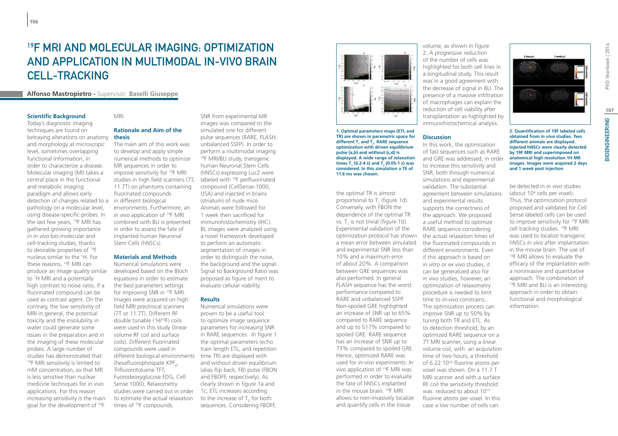# <sup>19</sup>F MRI AND MOLFCULAR IMAGING. OPTIMIZATION and Application in Multimodal In-Vivo Brain Cell-Tracking

### **Alfonso Mastropietro -** Supervisor: **Baselli Giuseppe**

#### **Scientific Background**

Today's diagnostic imaging techniques are found on betraying alterations on anatomy and morphology at microscopic level, sometimes overlapping functional information, in order to characterize a disease. Molecular imaging (MI) takes a central place in the functional and metabolic imaging paradigm and allows early detection of changes related to a in different biological pathology on a molecular level, using disease-specific probes. In the last few years, 19F MRI has gathered growing importance in *in vivo* bio-molecular and cell-tracking studies, thanks to desirable properties of 19F nucleus similar to the 1 H. For these reasons, 19F MRI can produce an image quality similar to 1 H MRI and a potentially high contrast to noise ratio, if a fluorinated compound can be used as contrast agent. On the contrary, the low sensitivity of MRI in general, the potential toxicity and the insolubility in water could generate some issues in the preparation and in the imaging of these molecular probes. A large number of studies has demonstrated that <sup>19</sup>F MRI sensitivity is limited to mM concentration, so that MR is less sensitive than nuclear medicine techniques for in vivo applications. For this reason increasing sensitivity is the main goal for the development of 19F

### MRI.

### **Rationale and Aim of the thesis**

The main aim of this work was to develop and apply simple numerical methods to optimize MR sequences in order to improve sensitivity for 19F MRI studies in high field scanners (7T, 11.7T) on phantoms containing fluorinated compounds environments. Furthermore, an *in vivo* application of <sup>19</sup>F MRI combined with BLI is presented in order to assess the fate of implanted human Neuronal Stem Cells (hNSCs).

#### **Materials and Methods**

Numerical simulations were developed based on the Bloch equations in order to estimate the best parameters settings for improving SNR in 19F MRI. Images were acquired on high field MRI preclinical scanners (7T or 11.7T). Different RF double tunable (1 H/19F) coils were used in this study (linear volume RF coil and surface coils). Different fluorinated compounds were used in different biological environments (hexafluorophospate KPF<sub>6</sub>, Triflurorotoluene TFT, Fuorodeoxyglucose FDG, Cell Sense 1000). Relaxometry studies were carried out in order to estimate the actual relaxation times of 19F compounds.

SNR from experimental MR images was compared to the simulated one for different pulse sequences (RARE, FLASH, unbalanced SSFP). In order to perform a multimodal imaging <sup>19</sup>F MRI/BLI study, transgenic human Neuronal Stem Cells (hNSCs) expressing Luc2 were labeled with <sup>19</sup>F perfluorinated compound (CellSense-1000, USA) and injected in brains (striatum) of nude mice. Animals were followed for 1 week then sacrificed for immunohistochemistry (IHC). BL images were analyzed using a novel framework developed to perform an automatic segmentation of images in order to distinguish the noise, the background and the signal. Signal to Background Ratio was proposed as figure of merit to evaluate cellular viability.

#### **Results**

Numerical simulations were proven to be a useful tool to optimize image sequence parameters for increasing SNR in RARE sequences. In figure 1 the optimal parameters (echo train length ETL, and repetition time TR) are displayed with and without driven equilibrium (alias flip back, FB) pulse (FBON and FBOFF, respectively). As clearly shown in figure 1a and 1c, ETL increases according to the increase of  $T_2$  for both sequences. Considering FBOFF,



**1. Optimal parameters maps (ETL and TR) are shown in parametric space for**  different T<sub>1</sub> and T<sub>2</sub>. RARE sequence **optimization with driven equilibrium pulse (a,b) and without (c,d) is displayed. A wide range of relaxation**   $\mathsf{times}\ \mathsf{T}_1$  (0.2-4 s) and  $\mathsf{T}_2$  (0.05-1 s) was **considered. In this simulation a TE of 11.6 ms was chosen.**

the optimal TR is almost proportional to  $T_1$  (figure 1d). Conversely, with FBON the dependence of the optimal TR vs.  $T_1$  is not trivial (figure 1b). Experimental validation of the optimization protocol has shown the actual relaxation times of a mean error between simulated and experimental SNR less than 10% and a maximum error of about 20%. A comparison between GRE sequences was also performed. In general FLASH sequence has the worst performance compared to RARE and unbalanced SSFP. Non-spoiled GRE highlighted an increase of SNR up to 65% compared to RARE sequence and up to 517% compared to spoiled GRE. RARE sequence has an increase of SNR up to 73% compared to spoiled GRE. Hence, optimized RARE was used for *in-vivo* experiments. *In vivo* application of 19F MRI was performed in order to evaluate the fate of hNSCs implanted in the mouse brain. 19F MRI allows to non-invasively localize and quantify cells in the tissue

volume, as shown in figure 2. A progressive reduction of the number of cells was highlighted for both cell lines in a longitudinal study. This result was in a good agreement with the decrease of signal in BLI. The presence of a massive infiltration of macrophages can explain the reduction of cell viability after transplantation as highlighted by immunohistochemical analysis.

#### **Discussion**

In this work, the optimization of fast sequences such as RARE and GRE was addressed, in order to increase this sensitivity and SNR, both through numerical simulations and experimental validation. The substantial agreement between simulations and experimental results supports the correctness of the approach. We proposed a useful method to optimize RARE sequence considering the fluorinated compounds in different environments. Even if this approach is based on *in vitro* or *ex vivo* studies, it can be generalized also for in vivo studies; however, an optimization of relaxometry procedure is needed to limit time to *in-vivo* constrains.. The optimization process can improve SNR up to 50% by tuning both TR and ETL. As to detection threshold, by an optimized RARE sequence on a 7T MRI scanner, using a linear volume coil, with an acquisition time of two hours, a threshold of 6.22 10<sup>16</sup> fluorine atoms per voxel was shown. On a 11.7 T MRI scanner and with a surface RF coil the sensitivity threshold was reduced to about 10<sup>15</sup> fluorine atoms per voxel. In this case a low number of cells can



**2. Quantification of 19F labeled cells obtained from** *in vivo* **studies. Two different animals are displayed. Injected hNSCs were clearly detected by 19F MRI and superimposed on anatomical high resolution 1H MR images. Images were acquired 2 days and 1 week post injection**

be detected in *in vivo* studies (about 104 cells per voxel). Thus, the optimization protocol proposed and validated for Cell Sense labeled cells can be used to improve sensitivity for 19F MRI cell tracking studies. 19F MRI was used to localize transgenic hNSCs *in vivo* after implantation in the mouse brain. The use of 19F MRI allows to evaluate the efficacy of the implantation with a noninvasive and quantitative approach. The combination of <sup>19</sup>F MRI and BLI is an interesting approach in order to obtain functional and morphological information.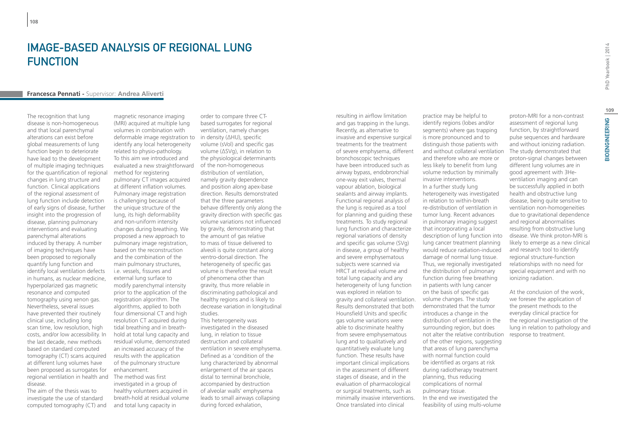# IMAGE-BASED ANALYSIS OF REGIONAL LUNG **FUNCTION**

### **Francesca Pennati -** Supervisor: **Andrea Aliverti**

The recognition that lung disease is non-homogeneous and that local parenchymal alterations can exist before global measurements of lung function begin to deteriorate have lead to the development of multiple imaging techniques for the quantification of regional changes in lung structure and function. Clinical applications of the regional assessment of lung function include detection of early signs of disease, further insight into the progression of disease, planning pulmonary interventions and evaluating parenchymal alterations induced by therapy. A number of imaging techniques have been proposed to regionally quantify lung function and identify local ventilation defects in humans, as nuclear medicine, hyperpolarized gas magnetic resonance and computed tomography using xenon gas. Nevertheless, several issues have prevented their routinely clinical use, including long scan time, low resolution, high costs, and/or low accessibility. In the last decade, new methods based on standard computed tomography (CT) scans acquired at different lung volumes have been proposed as surrogates for regional ventilation in health and disease.

The aim of the thesis was to investigate the use of standard computed tomography (CT) and

magnetic resonance imaging (MRI) acquired at multiple lung volumes in combination with deformable image registration to in density (ΔHU), specific identify any local heterogeneity related to physio-pathology. To this aim we introduced and evaluated a new straightforward of the non-homogeneous method for registering pulmonary CT images acquired at different inflation volumes. Pulmonary image registration is challenging because of the unique structure of the lung, its high deformability and non-uniform intensity changes during breathing. We proposed a new approach to pulmonary image registration, based on the reconstruction and the combination of the main pulmonary structures, i.e. vessels, fissures and external lung surface to modify parenchymal intensity prior to the application of the registration algorithm. The algorithms, applied to both four dimensional CT and high resolution CT acquired during tidal breathing and in breathhold at total lung capacity and residual volume, demonstrated an increased accuracy of the results with the application of the pulmonary structure enhancement. The method was first investigated in a group of healthy volunteers acquired in breath-hold at residual volume

and total lung capacity in

order to compare three CTbased surrogates for regional ventilation, namely changes volume (sVol) and specific gas volume (ΔSVg), in relation to the physiological determinants distribution of ventilation, namely gravity dependence and position along apex-base direction. Results demonstrated that the three parameters behave differently only along the gravity direction with specific gas volume variations not influenced by gravity, demonstrating that the amount of gas relative to mass of tissue delivered to alveoli is quite constant along ventro-dorsal direction. The heterogeneity of specific gas volume is therefore the result of phenomena other than gravity, thus more reliable in discriminating pathological and healthy regions and is likely to decrease variation in longitudinal studies. This heterogeneity was investigated in the diseased

lung, in relation to tissue destruction and collateral ventilation in severe emphysema. Defined as a 'condition of the lung characterized by abnormal enlargement of the air spaces distal to terminal bronchiole, accompanied by destruction of alveolar walls' emphysema leads to small airways collapsing during forced exhalation,

resulting in airflow limitation and gas trapping in the lungs. Recently, as alternative to invasive and expensive surgical treatments for the treatment of severe emphysema, different bronchoscopic techniques have been introduced such as airway bypass, endobronchial one-way exit valves, thermal vapour ablation, biological sealants and airway implants. Functional regional analysis of the lung is required as a tool for planning and guiding these treatments. To study regional lung function and characterize regional variations of density and specific gas volume (SVg) in disease, a group of healthy and severe emphysematous subjects were scanned via HRCT at residual volume and total lung capacity and any heterogeneity of lung function was explored in relation to gravity and collateral ventilation. Results demonstrated that both Hounsfield Units and specific gas volume variations were able to discriminate healthy from severe emphysematous lung and to qualitatively and quantitatively evaluate lung function. These results have important clinical implications in the assessment of different stages of disease, and in the evaluation of pharmacological or surgical treatments, such as minimally invasive interventions. Once translated into clinical

practice may be helpful to identify regions (lobes and/or segments) where gas trapping is more pronounced and to distinguish those patients with and without collateral ventilation and therefore who are more or less likely to benefit from lung volume reduction by minimally invasive interventions. In a further study lung heterogeneity was investigated in relation to within-breath re-distribution of ventilation in tumor lung. Recent advances in pulmonary imaging suggest that incorporating a local description of lung function into lung cancer treatment planning would reduce radiation-induced damage of normal lung tissue. Thus, we regionally investigated the distribution of pulmonary function during free breathing in patients with lung cancer on the basis of specific gas volume changes. The study demonstrated that the tumor introduces a change in the distribution of ventilation in the surrounding region, but does not alter the relative contribution of the other regions, suggesting that areas of lung parenchyma with normal function could be identified as organs at risk during radiotherapy treatment planning, thus reducing complications of normal pulmonary tissue. In the end we investigated the feasibility of using multi-volume

proton-MRI for a non-contrast assessment of regional lung function, by straightforward pulse sequences and hardware and without ionizing radiation. The study demonstrated that proton-signal changes between different lung volumes are in good agreement with 3Heventilation imaging and can be successfully applied in both health and obstructive lung disease, being quite sensitive to ventilation non-homogeneities due to gravitational dependence and regional abnormalities

resulting from obstructive lung disease. We think proton-MRI is likely to emerge as a new clinical and research tool to identify regional structure-function relationships with no need for special equipment and with no

At the conclusion of the work, we foresee the application of the present methods to the everyday clinical practice for the regional investigation of the lung in relation to pathology and

ionizing radiation.

response to treatment.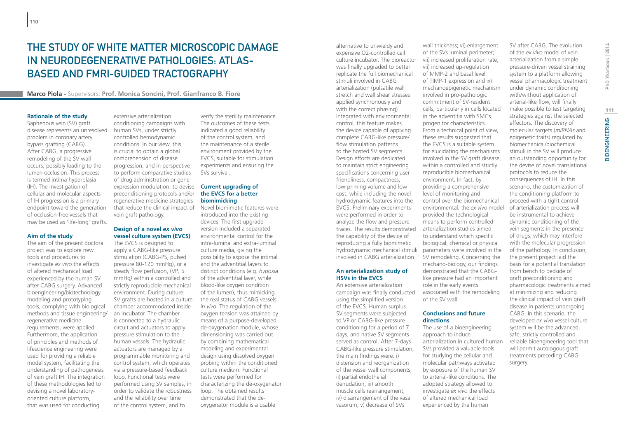# The Study of White Matter Microscopic Damage in Neurodegenerative Pathologies: Atlas-Based and fMRI-Guided Tractography

### **Marco Piola -** Supervisors: **Prof. Monica Soncini, Prof. Gianfranco B. Fiore**

#### **Rationale of the study**

Saphenous vein (SV) graft disease represents an unresolved problem in coronary artery bypass grafting (CABG). After CABG, a progressive remodeling of the SV wall occurs, possibly leading to the lumen occlusion. This process is termed intima hyperplasia (IH). The investigation of cellular and molecular aspects of IH progression is a primary endpoint toward the generation of occlusion-free vessels that may be used as 'life-long' grafts.

#### **Aim of the study**

The aim of the present doctoral project was to explore new tools and procedures to investigate *ex vivo* the effects of altered mechanical load experienced by the human SV after CABG surgery. Advanced bioengineering/biotechnology modeling and prototyping tools, complying with biological methods and tissue engineering/ regenerative medicine requirements, were applied. Furthermore, the application of principles and methods of lifescience engineering were used for providing a reliable model system, facilitating the understanding of pathogenesis of vein graft IH. The integration of these methodologies led to devising a novel laboratoryoriented culture platform, that was used for conducting

extensive arterialization conditioning campaigns with human SVs, under strictly controlled hemodynamic conditions. In our view, this is crucial to obtain a global comprehension of disease progression, and in perspective to perform comparative studies of drug administration or gene expression modulation, to devise **Current upgrading of**  preconditioning protocols and/or regenerative medicine strategies that reduce the clinical impact of vein graft pathology.

### **Design of a novel** *ex vivo*  **vessel culture system (EVCS)**

The EVCS is designed to apply a CABG-like pressure stimulation (CABG-PS, pulsed pressure 80-120 mmHg), or a steady flow perfusion, (VP*,* 5 mmHg*)* within a controlled and strictly reproducible mechanical environment. During culture, SV grafts are hosted in a culture chamber accommodated inside an incubator. The chamber is connected to a hydraulic circuit and actuators to apply pressure stimulation to the human vessels. The hydraulic actuators are managed by a programmable monitoring and control system, which operates via a pressure-based feedback loop. Functional tests were performed using SV samples, in order to validate the robustness and the reliability over time of the control system, and to

verify the sterility maintenance. The outcomes of these tests indicated a good reliability of the control system, and the maintenance of a sterile environment provided by the EVCS, suitable for stimulation experiments and ensuring the SVs survival.

### **the EVCS for a better biomimicking**

Novel biomimetic features were introduced into the existing devices. The first upgrade version included a separated environmental control for the intra-luminal and extra-luminal culture media, giving the possibility to expose the intimal and the adventitial layers to distinct conditions (e.g. *hypoxia*  of the adventitial layer, while blood-like oxygen condition of the lumen), thus mimicking the real status of CABG vessels *in vivo*. The regulation of the oxygen tension was attained by means of a purpose-developed de-oxygenation module, whose dimensioning was carried out by combining mathematical modeling and experimental design using dissolved oxygen probing within the conditioned culture medium. Functional tests were performed for characterizing the de-oxygenator loop. The obtained results demonstrated that the deoxygenator module is a usable

alternative to unwieldy and expensive O2-controlled cell culture incubator. The bioreactor was finally upgraded to better replicate the full biomechanical stimuli involved in CABG arterialization (pulsatile wall stretch and wall shear stresses applied synchronously and with the correct phasing). Integrated with environmental control, this feature makes the device capable of applying complete CABG-like pressure/ flow stimulation patterns to the hosted SV segments. Design efforts are dedicated to maintain strict engineering specifications concerning user friendliness, compactness, low-priming volume and low cost, while including the novel hydrodynamic features into the EVCS. Preliminary experiments were performed in order to analyze the flow and pressure traces. The results demonstrated the capability of the device of reproducing a fully biomimetic hydrodynamic mechanical stimuli involved in CABG arterialization.

#### **An arterialization study of HSVs in the EVCS**

An extensive arterialization campaign was finally conducted using the simplified version of the EVCS. Human surplus SV segments were subjected to VP or CABG-like pressure conditioning for a period of 7 days, and native SV segments served as control. After 7-days CABG-like pressure stimulation, the main findings were: i) distension and reorganization of the vessel wall components; ii) partial endothelial denudation, iii) smooth muscle cells rearrangement; iv) disarrangement of the vasa vasorum; v) decrease of SVs

wall thickness; vi) enlargement of the SVs luminal perimeter; vii) increased proliferation rate; vii) increased up-regulation of MMP-2 and basal level of TIMP-1 expression and ix) mechanoepigenetic mechanism involved in pro-pathologic commitment of SV-resident cells, particularly in cells located in the adventitia with SMCs progenitor characteristics. From a technical point of view, these results suggested that the EVCS is a suitable system for elucidating the mechanisms involved in the SV graft disease, within a controlled and strictly reproducible biomechanical environment. In fact, by providing a comprehensive level of monitoring and control over the biomechanical environmental, the *ex vivo* model provided the technological means to perform controlled arterialization studies aimed to understand which specific biological, chemical or physical parameters were involved in the SV remodeling. Concerning the mechano-biology, our findings demonstrated that the CABGlike pressure had an important role in the early events associated with the remodeling of the SV wall.

#### **Conclusions and future directions**

The use of a bioengineering approach to induce arterialization in cultured human SVs provided a valuable tools for studying the cellular and molecular pathways activated by exposure of the human SV to arterial-like conditions. The adopted strategy allowed to investigate *ex vivo* the effects of altered mechanical load experienced by the human

of the *ex vivo* model of vein arterialization from a simple pressure-driven vessel straining system to a platform allowing vessel pharmacologic treatment under dynamic conditioning with/without application of arterial-like flow, will finally make possible to test targeting strategies against the selected effectors. The discovery of molecular targets (*miRNAs* and epigenetic traits) regulated by biomechanical/biochemical stimuli in the SV will produce an outstanding opportunity for the devise of novel translational protocols to reduce the consequences of IH. In this scenario, the customization of the conditioning platform to proceed with a tight control of arterialization process will be instrumental to achieve dynamic conditioning of the vein segments in the presence of drugs, which may interfere with the molecular progression of the pathology. In conclusion, the present project laid the basis for a potential translation from bench to bedside of graft preconditioning and pharmacologic treatments aimed at minimizing and reducing the clinical impact of vein graft disease in patients undergoing CABG. In this scenario, the developed *ex vivo* vessel culture system will be the advanced, safe, strictly controlled and reliable bioengineering tool that will permit autologous graft treatments preceding CABG surgery.

SV after CABG. The evolution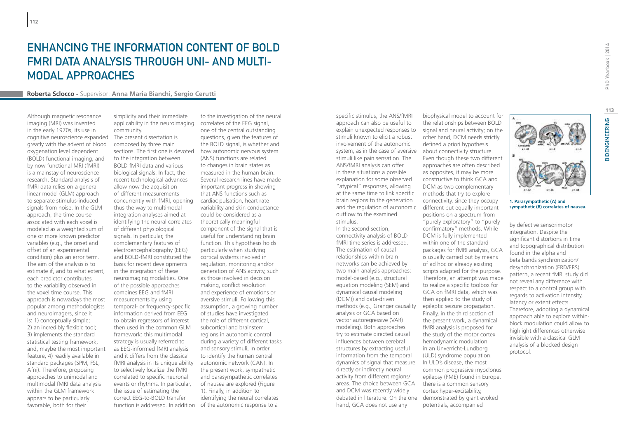# Enhancing the information content of BOLD fMRI data analysis through uni- and multimodal approaches

#### **Roberta Sclocco -** Supervisor: **Anna Maria Bianchi, Sergio Cerutti**

Although magnetic resonance imaging (MRI) was invented in the early 1970s, its use in cognitive neuroscience expanded greatly with the advent of blood oxygenation level dependent (BOLD) functional imaging, and by now functional MRI (fMRI) is a mainstay of neuroscience research. Standard analysis of fMRI data relies on a general linear model (GLM) approach to separate stimulus-induced signals from noise. In the GLM approach, the time course associated with each voxel is modeled as a weighted sum of one or more known predictor variables (e.g., the onset and offset of an experimental condition) plus an error term. The aim of the analysis is to estimate if, and to what extent, each predictor contributes to the variability observed in the voxel time course. This approach is nowadays the most popular among methodologists and neuroimagers, since it is: 1) conceptually simple; 2) an incredibly flexible tool; 3) implements the standard statistical testing framework; and, maybe the most important feature, 4) readily available in standard packages (SPM, FSL, Afni). Therefore, proposing approaches to unimodal and multimodal fMRI data analysis within the GLM framework appears to be particularly favorable, both for their

simplicity and their immediate applicability in the neuroimaging community.

The present dissertation is composed by three main sections. The first one is devoted to the integration between BOLD fMRI data and various biological signals. In fact, the recent technological advances allow now the acquisition of different measurements concurrently with fMRI, opening thus the way to multimodal integration analyses aimed at identifying the neural correlates of different physiological signals. In particular, the complementary features of electroencephalography (EEG) and BOLD-fMRI constituted the basis for recent developments in the integration of these neuroimaging modalities. One of the possible approaches combines EEG and fMRI measurements by using temporal- or frequency-specific information derived from EEG to obtain regressors of interest then used in the common GLM framework: this multimodal strategy is usually referred to as EEG-informed fMRI analysis and it differs from the classical fMRI analysis in its unique ability to selectively localize the fMRI correlated to specific neuronal events or rhythms. In particular, the issue of estimating the correct EEG-to-BOLD transfer function is addressed. In addition of the autonomic response to a

to the investigation of the neural correlates of the EEG signal, one of the central outstanding questions, given the features of the BOLD signal, is whether and how autonomic nervous system (ANS) functions are related to changes in brain states as measured in the human brain. Several research lines have made important progress in showing that ANS functions such as cardiac pulsation, heart rate variability and skin conductance could be considered as a theoretically meaningful component of the signal that is useful for understanding brain function. This hypothesis holds particularly when studying cortical systems involved in regulation, monitoring and/or generation of ANS activity, such as those involved in decision making, conflict resolution and experience of emotions or aversive stimuli. Following this assumption, a growing number of studies have investigated the role of different cortical, subcortical and brainstem regions in autonomic control during a variety of different tasks and sensory stimuli, in order to identify the human central autonomic network (CAN). In the present work, sympathetic and parasympathetic correlates of nausea are explored (Figure 1). Finally, in addition to identifying the neural correlates

specific stimulus, the ANS/fMRI approach can also be useful to explain unexpected responses to stimuli known to elicit a robust involvement of the autonomic system, as in the case of aversive about connectivity structure. stimuli like pain sensation. The ANS/fMRI analysis can offer in these situations a possible explanation for some observed "atypical" responses, allowing at the same time to link specific brain regions to the generation and the regulation of autonomic different but equally important outflow to the examined stimulus.

In the second section, connectivity analysis of BOLD fMRI time series is addressed. The estimation of causal relationships within brain networks can be achieved by two main analysis approaches: model-based (e.g., structural equation modeling (SEM) and dynamical causal modeling (DCM)) and data-driven methods (e.g., Granger causality analysis or GCA based on vector autoregressive (VAR) modeling). Both approaches try to estimate directed causal influences between cerebral structures by extracting useful information from the temporal dynamics of signal that measure directly or indirectly neural activity from different regions/ areas. The choice between GCA and DCM was recently widely debated in literature. On the one demonstrated by giant evoked hand, GCA does not use any

the relationships between BOLD signal and neural activity; on the other hand, DCM needs strictly defined a priori hypothesis Even though these two different approaches are often described as opposites, it may be more constructive to think GCA and DCM as two complementary methods that try to explore connectivity, since they occupy positions on a spectrum from "purely exploratory" to "purely confirmatory" methods. While DCM is fully implemented within one of the standard packages for fMRI analysis, GCA is usually carried out by means of ad hoc or already existing scripts adapted for the purpose. Therefore, an attempt was made to realize a specific toolbox for GCA on fMRI data, which was then applied to the study of epileptic seizure propagation. Finally, in the third section of the present work, a dynamical fMRI analysis is proposed for the study of the motor cortex hemodynamic modulation in an Unverricht-Lundborg (ULD) syndrome population. In ULD's disease, the most common progressive myoclonus epilepsy (PME) found in Europe, there is a common sensory cortex hyper-excitability, potentials, accompanied

biophysical model to account for



**1. Parasympathetic (A) and sympathetic (B) correlates of nausea.**

by defective sensorimotor integration. Despite the significant distortions in time and topographical distribution found in the alpha and beta bands synchronization/ desynchronization (ERD/ERS) pattern, a recent fMRI study did not reveal any difference with respect to a control group with regards to activation intensity, latency or extent effects. Therefore, adopting a dynamical approach able to explore withinblock modulation could allow to highlight differences otherwise invisible with a classical GLM analysis of a blocked design protocol.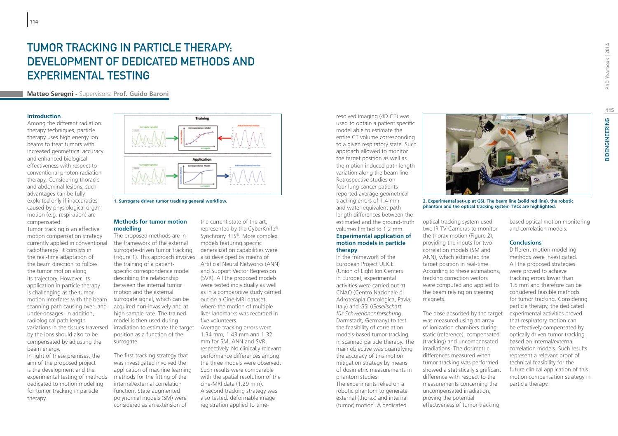# TUMOR TRACKING IN PARTICLE THERAPY. development of dedicated methods and experimental testing

**Matteo Seregni -** Supervisors: **Prof. Guido Baroni**

#### **Introduction**

Among the different radiation therapy techniques, particle therapy uses high energy ion beams to treat tumors with increased geometrical accuracy and enhanced biological effectiveness with respect to conventional photon radiation therapy. Considering thoracic and abdominal lesions, such advantages can be fully exploited only if inaccuracies caused by physiological organ motion (e.g. respiration) are compensated.

Tumor tracking is an effective motion compensation strategy currently applied in conventional radiotherapy: it consists in the real-time adaptation of the beam direction to follow the tumor motion along its trajectory. However, its application in particle therapy is challenging as the tumor motion interferes with the beam scanning path causing over- and under-dosages. In addition, radiological path length variations in the tissues traversed by the ions should also to be compensated by adjusting the beam energy.

In light of these premises, the aim of the proposed project is the development and the experimental testing of methods dedicated to motion modelling for tumor tracking in particle therapy.



**1. Surrogate driven tumor tracking general workflow.**

#### **Methods for tumor motion modelling**

The proposed methods are in the framework of the external surrogate-driven tumor tracking (Figure 1). This approach involves also developed by means of the training of a patientspecific correspondence model describing the relationship between the internal tumor motion and the external surrogate signal, which can be acquired non-invasively and at high sample rate. The trained model is then used during irradiation to estimate the target position as a function of the surrogate.

The first tracking strategy that was investigated involved the application of machine learning methods for the fitting of the internal/external correlation function. State augmented polynomial models (SM) were considered as an extension of

the current state of the art, represented by the CyberKnife® Synchrony RTS®. More complex models featuring specific generalization capabilities were Artificial Neural Networks (ANN) and Support Vector Regression (SVR). All the proposed models were tested individually as well as in a comparative study carried out on a Cine-MRI dataset, where the motion of multiple liver landmarks was recorded in five volunteers. Average tracking errors were

1.34 mm, 1.43 mm and 1.32 mm for SM, ANN and SVR, respectively. No clinically relevant performance differences among the three models were observed. Such results were comparable with the spatial resolution of the cine-MRI data (1.29 mm). A second tracking strategy was also tested: deformable image registration applied to timeresolved imaging (4D CT) was used to obtain a patient specific model able to estimate the entire CT volume corresponding to a given respiratory state. Such approach allowed to monitor the target position as well as the motion induced path length variation along the beam line. Retrospective studies on four lung cancer patients reported average geometrical tracking errors of 1.4 mm and water-equivalent path length differences between the estimated and the ground-truth volumes limited to 1.2 mm. **Experimental application of motion models in particle therapy**

In the framework of the European Project ULICE (Union of Light Ion Centers in Europe), experimental activities were carried out at CNAO (Centro Nazionale di Adroterapia Oncologica, Pavia, Italy) and GSI (*Gesellschaft für Schwerionenforschung*, Darmstadt, Germany) to test the feasibility of correlation models-based tumor tracking in scanned particle therapy. The main objective was quantifying the accuracy of this motion mitigation strategy by means of dosimetric measurements in phantom studies. The experiments relied on a

robotic phantom to generate external (thorax) and internal (tumor) motion. A dedicated



**2. Experimental set-up at GSI. The beam line (solid red line), the robotic phantom and the optical tracking system TVCs are highlighted.**

optical tracking system used two IR TV-Cameras to monitor the thorax motion (Figure 2), providing the inputs for two correlation models (SM and ANN), which estimated the target position in real-time. According to these estimations, tracking correction vectors were computed and applied to the beam relying on steering magnets.

The dose absorbed by the target was measured using an array of ionization chambers during static (reference), compensated (tracking) and uncompensated irradiations. The dosimetric differences measured when tumor tracking was performed showed a statistically significant difference with respect to the measurements concerning the uncompensated irradiation, proving the potential effectiveness of tumor tracking

#### **Conclusions**

and correlation models.

Different motion modelling methods were investigated. All the proposed strategies were proved to achieve tracking errors lower than 1.5 mm and therefore can be considered feasible methods for tumor tracking. Considering particle therapy, the dedicated experimental activities proved that respiratory motion can be effectively compensated by optically driven tumor tracking based on internal/external correlation models. Such results represent a relevant proof of technical feasibility for the future clinical application of this motion compensation strategy in particle therapy.

**115**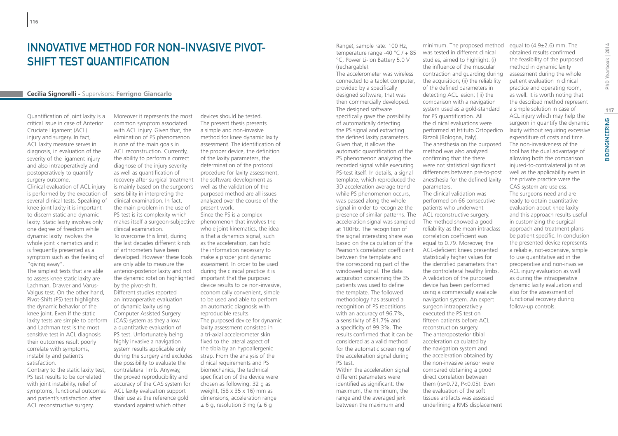# Innovative method for non-invasive pivot-SHIFT TEST QUANTIFICATION

#### **Cecilia Signorelli -** Supervisors: **Ferrigno Giancarlo**

Quantification of joint laxity is a critical issue in case of Anterior Cruciate Ligament (ACL) injury and surgery. In fact, ACL laxity measure serves in diagnosis, in evaluation of the severity of the ligament injury and also intraoperatively and postoperatively to quantify surgery outcome.

Clinical evaluation of ACL injury is performed by the execution of several clinical tests. Speaking of knee joint laxity it is important to discern static and dynamic laxity. Static laxity involves only one degree of freedom while dynamic laxity involves the whole joint kinematics and it is frequently presented as a symptom such as the feeling of "giving away".

The simplest tests that are able to assess knee static laxity are Lachman, Drawer and Varus-Valgus test. On the other hand, Pivot-Shift (PS) test highlights the dynamic behavior of the knee joint. Even if the static laxity tests are simple to perform and Lachman test is the most sensitive test in ACL diagnosis their outcomes result poorly correlate with symptoms, instability and patient's satisfaction.

Contrary to the static laxity test, PS test results to be correlated with joint instability, relief of symptoms, functional outcomes and patient's satisfaction after ACL reconstructive surgery.

Moreover it represents the most common symptom associated with ACL injury. Given that, the elimination of PS phenomenon is one of the main goals in ACL reconstruction. Currently, the ability to perform a correct diagnose of the injury severity as well as quantification of recovery after surgical treatment is mainly based on the surgeon's sensibility in interpreting the clinical examination. In fact, the main problem in the use of PS test is its complexity which makes itself a surgeon-subjective phenomenon that involves the clinical examination. To overcome this limit, during the last decades different kinds of arthrometers have been developed. However these tools are only able to measure the anterior-posterior laxity and not the dynamic rotation highlighted important that the purposed by the pivot-shift. Different studies reported an intraoperative evaluation of dynamic laxity using Computer Assisted Surgery (CAS) system as they allow a quantitative evaluation of PS test. Unfortunately being highly invasive a navigation system results applicable only during the surgery and excludes the possibility to evaluate the contralateral limb. Anyway, the proved reproducibility and accuracy of the CAS system for ACL laxity evaluation support their use as the reference gold standard against which other

devices should be tested. The present thesis presents a simple and non-invasive method for knee dynamic laxity assessment. The identification of the proper device, the definition of the laxity parameters, the determination of the protocol procedure for laxity assessment, the software development as well as the validation of the purposed method are all issues analyzed over the course of the present work. Since the PS is a complex whole joint kinematics, the idea is that a dynamics signal, such as the acceleration, can hold the information necessary to make a proper joint dynamic assessment. In order to be used during the clinical practice it is device results to be non-invasive, economically convenient, simple to be used and able to perform an automatic diagnosis with reproducible results. The purposed device for dynamic laxity assessment consisted in a tri-axial accelerometer skin fixed to the lateral aspect of the tibia by an hypoallergenic strap. From the analysis of the clinical requirements and PS biomechanics, the technical specification of the device were chosen as following: 32 g as weight, (58 x 35 x 16) mm as dimensions, acceleration range  $± 6$  g, resolution 3 mg ( $± 6$  g

Range), sample rate: 100 Hz, temperature range -40 °C / + 85 °C, Power Li-Ion Battery 5.0 V (rechargable).

The accelerometer was wireless connected to a tablet computer, provided by a specifically designed software, that was then commercially developed. The designed software specifically gave the possibility of automatically detecting the PS signal and extracting the defined laxity parameters. Given that, it allows the automatic quantification of the PS phenomenon analyzing the recorded signal while executing PS-test itself. In details, a signal template, which reproduced the 3D acceleration average trend while PS phenomenon occurs, was passed along the whole signal in order to recognize the presence of similar patterns. The acceleration signal was sampled at 100Hz. The recognition of the signal interesting share was based on the calculation of the Pearson's correlation coefficient between the template and the corresponding part of the windowed signal. The data acquisition concerning the 35 patients was used to define the template. The followed methodology has assured a recognition of PS repetitions with an accuracy of 96.7%, a sensitivity of 81.7% and a specificity of 99.3%. The results confirmed that it can be considered as a valid method for the automatic screening of the acceleration signal during PS test.

Within the acceleration signal different parameters were identified as significant: the maximum, the minimum, the range and the averaged jerk between the maximum and

minimum. The proposed method was tested in different clinical studies, aimed to highlight: (i) the influence of the muscular contraction and guarding during the acquisition; (ii) the reliability of the defined parameters in detecting ACL lesion; (iii) the comparison with a navigation system used as a gold-standard for PS quantification. All the clinical evaluations were performed at Istituto Ortopedico Rizzoli (Bologna, Italy). The anesthesia on the purposed method was also analyzed confirming that the there were not statistical significant differences between pre-to-post anesthesia for the defined laxity parameters. The clinical validation was performed on 66 consecutive patients who underwent ACL reconstructive surgery. The method showed a good reliability as the mean intraclass correlation coefficient was equal to 0.79. Moreover, the ACL-deficient knees presented statistically higher values for the identified parameters than

the controlateral healthy limbs. A validation of the purposed device has been performed using a commercially available navigation system. An expert surgeon intraoperatively executed the PS test on fifteen patients before ACL reconstruction surgery. The anteroposterior tibial acceleration calculated by the navigation system and the acceleration obtained by the non-invasive sensor were compared obtaining a good direct correlation between them (rs=0.72, P<0.05). Even the evaluation of the soft

tissues artifacts was assessed underlining a RMS displacement PhD Yearbook | 2014

laxity without requiring excessive expenditure of costs and time. The non-invasiveness of the tool has the dual advantage of allowing both the comparison injured-to-contralateral joint as well as the applicability even in the private practice were the CAS system are useless. The surgeons need and are ready to obtain quantitative evaluation about knee laxity and this approach results useful in customizing the surgical approach and treatment plans be patient specific. In conclusion the presented device represents a reliable, not-expensive, simple to use quantitative aid in the preoperative and non-invasive ACL injury evaluation as well as during the intraoperative dynamic laxity evaluation and also for the assessment of functional recovery during follow-up controls.

equal to  $(4.9\pm2.6)$  mm. The obtained results confirmed the feasibility of the purposed method in dynamic laxity assessment during the whole patient evaluation in clinical practice and operating room, as well. It is worth noting that the described method represent a simple solution in case of ACL injury which may help the surgeon in quantify the dynamic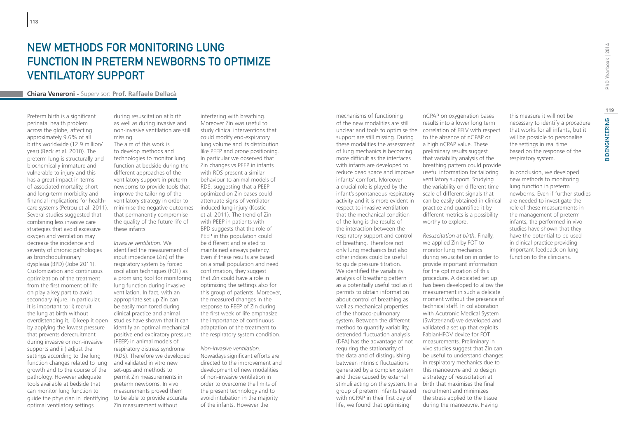# New Methods for monitoring lung function in preterm newborns to optimize ventilatory support

#### **Chiara Veneroni -** Supervisor: **Prof. Raffaele Dellacà**

Preterm birth is a significant perinatal health problem across the globe, affecting approximately 9.6% of all births worldwide (12.9 million/ year) (Beck et al. 2010). The preterm lung is structurally and biochemically immature and vulnerable to injury and this has a great impact in terms of associated mortality, short and long-term morbidity and financial implications for healthcare systems (Petrou et al. 2011). Several studies suggested that combining less invasive care strategies that avoid excessive oxygen and ventilation may decrease the incidence and severity of chronic pathologies as bronchopulmonary dysplasia (BPD) (Jobe 2011). Customization and continuous optimization of the treatment from the first moment of life on play a key part to avoid secondary injure. In particular, it is important to: i) recruit the lung at birth without overdistending it, ii) keep it open by applying the lowest pressure that prevents derecruitment during invasive or non-invasive supports and iii) adjust the settings according to the lung function changes related to lung growth and to the course of the pathology. However adequate tools available at bedside that can monitor lung function to guide the physician in identifying optimal ventilatory settings

during resuscitation at birth as well as during invasive and non-invasive ventilation are still missing.

The aim of this work is to develop methods and technologies to monitor lung function at bedside during the different approaches of the ventilatory support in preterm newborns to provide tools that improve the tailoring of the ventilatory strategy in order to minimise the negative outcomes that permanently compromise the quality of the future life of these infants.

*Invasive ventilation.* We identified the measurement of input impedance (Zin) of the respiratory system by forced oscillation techniques (FOT) as a promising tool for monitoring lung function during invasive ventilation. In fact, with an appropriate set up Zin can be easily monitored during clinical practice and animal studies have shown that it can identify an optimal mechanical positive end expiratory pressure (PEEP) in animal models of respiratory distress syndrome (RDS). Therefore we developed and validated in vitro new set-ups and methods to permit Zin measurements in preterm newborns. In vivo measurements proved them to be able to provide accurate Zin measurement without

interfering with breathing. Moreover Zin was useful to study clinical interventions that could modify end-expiratory lung volume and its distribution like PEEP and prone positioning. In particular we observed that Zin changes vs PEEP in infants with RDS present a similar behaviour to animal models of RDS, suggesting that a PEEP optimized on Zin bases could attenuate signs of ventilator induced lung injury (Kostic et al. 2011). The trend of Zin with PEEP in patients with BPD suggests that the role of PEEP in this population could be different and related to maintained airways patency. Even if these results are based on a small population and need confirmation, they suggest that Zin could have a role in optimizing the settings also for this group of patients. Moreover, the measured changes in the response to PEEP of Zin during the first week of life emphasize the importance of continuous adaptation of the treatment to the respiratory system condition.

*Non-invasive ventilation.* Nowadays significant efforts are directed to the improvement and development of new modalities of non-invasive ventilation in order to overcome the limits of the present technology and to avoid intubation in the majority of the infants. However the

mechanisms of functioning of the new modalities are still unclear and tools to optimise the correlation of EELV with respect support are still missing. During these modalities the assessment of lung mechanics is becoming more difficult as the interfaces with infants are developed to reduce dead space and improve infants' comfort. Moreover a crucial role is played by the infant's spontaneous respiratory activity and it is more evident in respect to invasive ventilation that the mechanical condition of the lung is the results of the interaction between the respiratory support and control of breathing. Therefore not only lung mechanics but also other indices could be useful to guide pressure titration. We identified the variability analysis of breathing pattern as a potentially useful tool as it permits to obtain information about control of breathing as well as mechanical properties of the thoraco-pulmonary system. Between the different method to quantify variability, detrended fluctuation analysis (DFA) has the advantage of not requiring the stationarity of the data and of distinguishing between intrinsic fluctuations generated by a complex system and those caused by external stimuli acting on the system. In a group of preterm infants treated recruitment and minimizes with nCPAP in their first day of life, we found that optimising

nCPAP on oxygenation bases results into a lower long term to the absence of nCPAP or a high nCPAP value. These preliminary results suggest that variability analysis of the breathing pattern could provide useful information for tailoring ventilatory support. Studying the variability on different time scale of different signals that can be easily obtained in clinical practice and quantified it by different metrics is a possibility

worthy to explore.

*Resuscitation at birth.* Finally, we applied Zin by FOT to monitor lung mechanics during resuscitation in order to provide important information for the optimization of this procedure. A dedicated set up has been developed to allow the measurement in such a delicate moment without the presence of technical staff. In collaboration with Acutronic Medical System (Switzerland) we developed and validated a set up that exploits FabianHFOV device for FOT measurements. Preliminary in vivo studies suggest that Zin can be useful to understand changes in respiratory mechanics due to this manoeuvre and to design a strategy of resuscitation at birth that maximises the final the stress applied to the tissue during the manoeuvre. Having

this measure it will not be necessary to identify a procedure that works for all infants, but it will be possible to personalise the settings in real time based on the response of the respiratory system.

In conclusion, we developed new methods to monitoring lung function in preterm newborns. Even if further studies are needed to investigate the role of these measurements in the management of preterm infants, the performed in vivo studies have shown that they have the potential to be used in clinical practice providing important feedback on lung function to the clinicians.